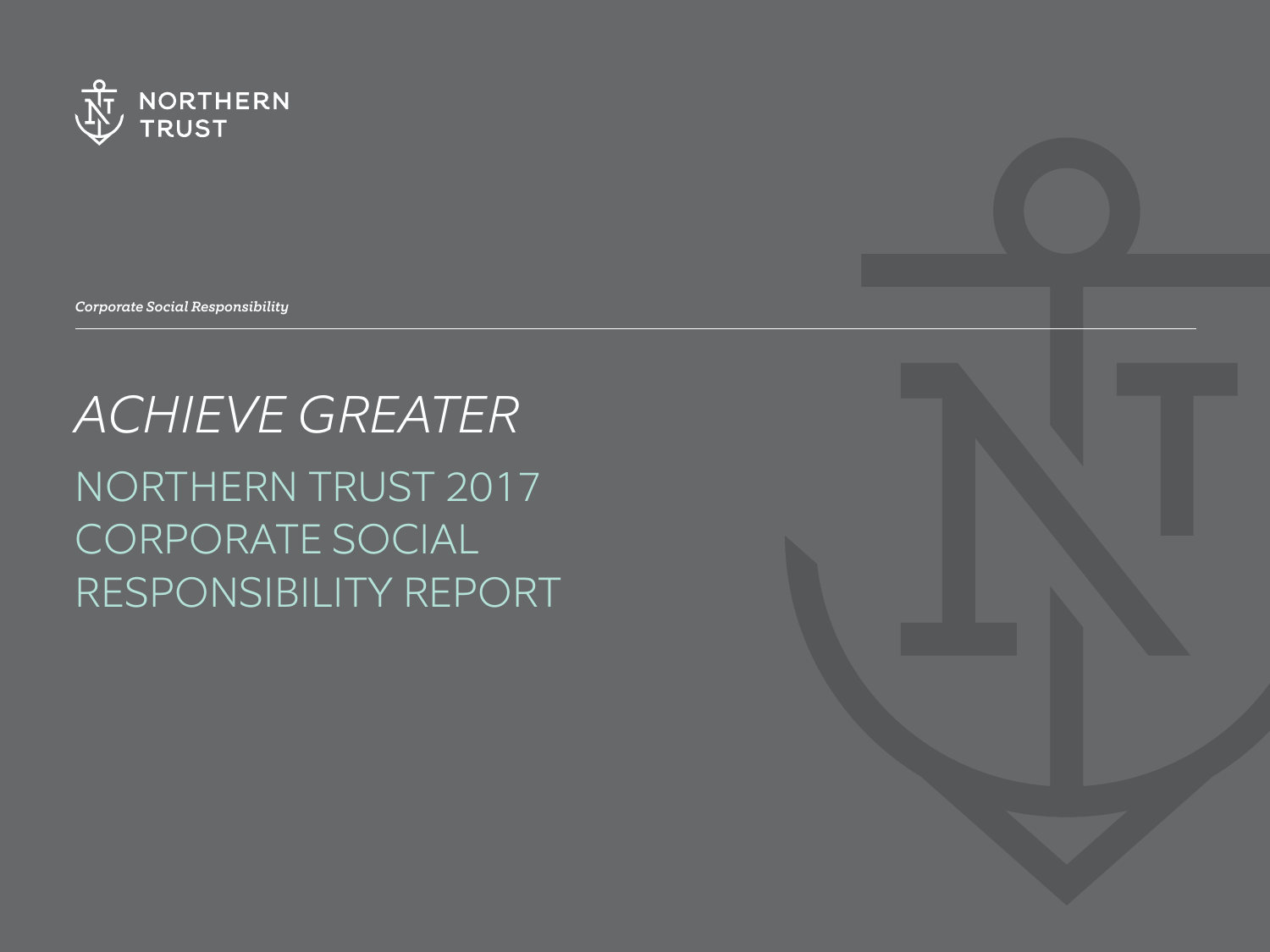

*Corporate Social Responsibility*

# *ACHIEVE GREATER* NORTHERN TRUST 2017 CORPORATE SOCIAL RESPONSIBILITY REPORT

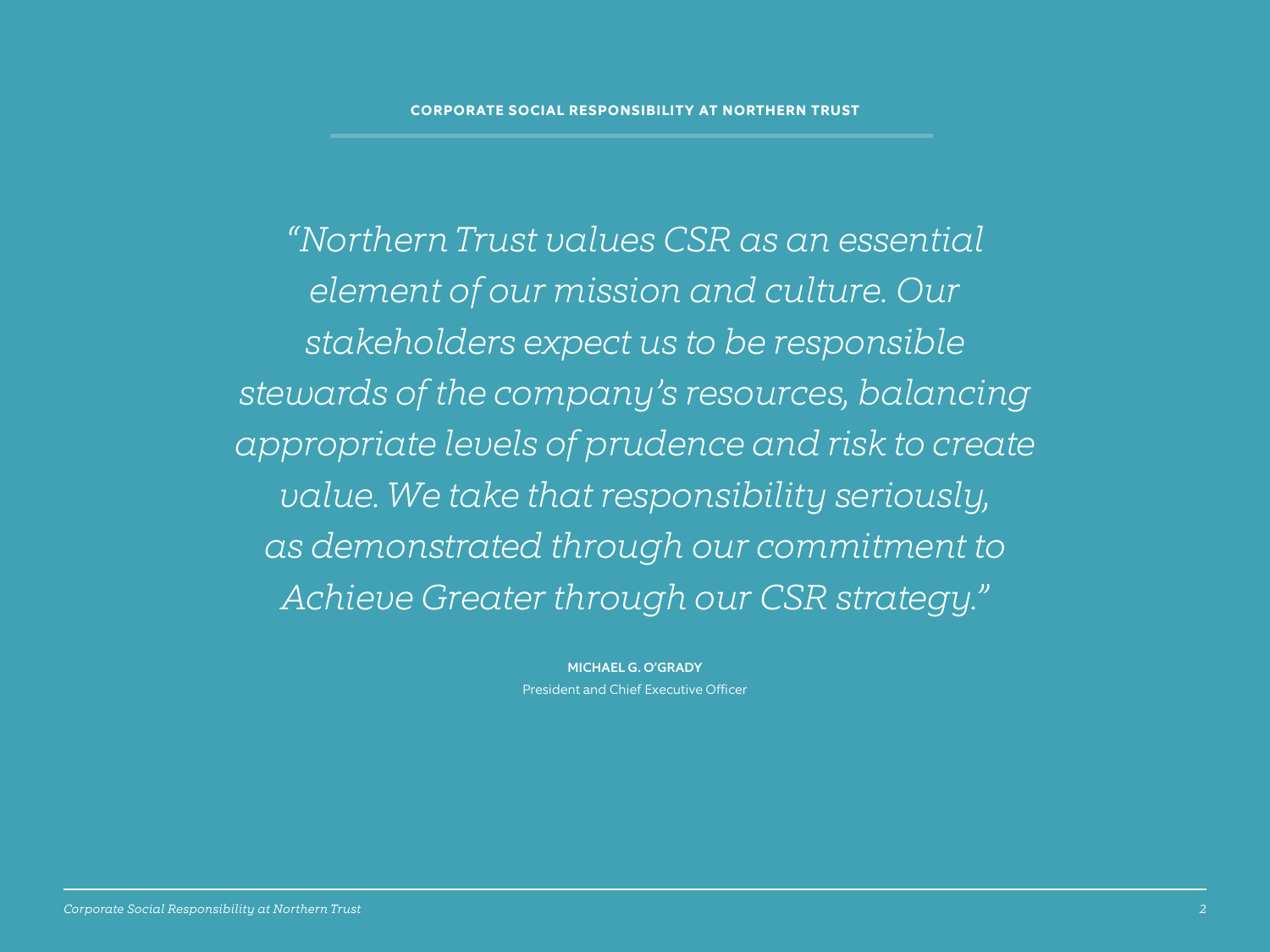*"Northern Trust values CSR as an essential element of our mission and culture. Our stakeholders expect us to be responsible stewards of the company's resources, balancing appropriate levels of prudence and risk to create value. We take that responsibility seriously, as demonstrated through our commitment to Achieve Greater through our CSR strategy."*

> MICHAEL G. O'GRADY President and Chief Executive Officer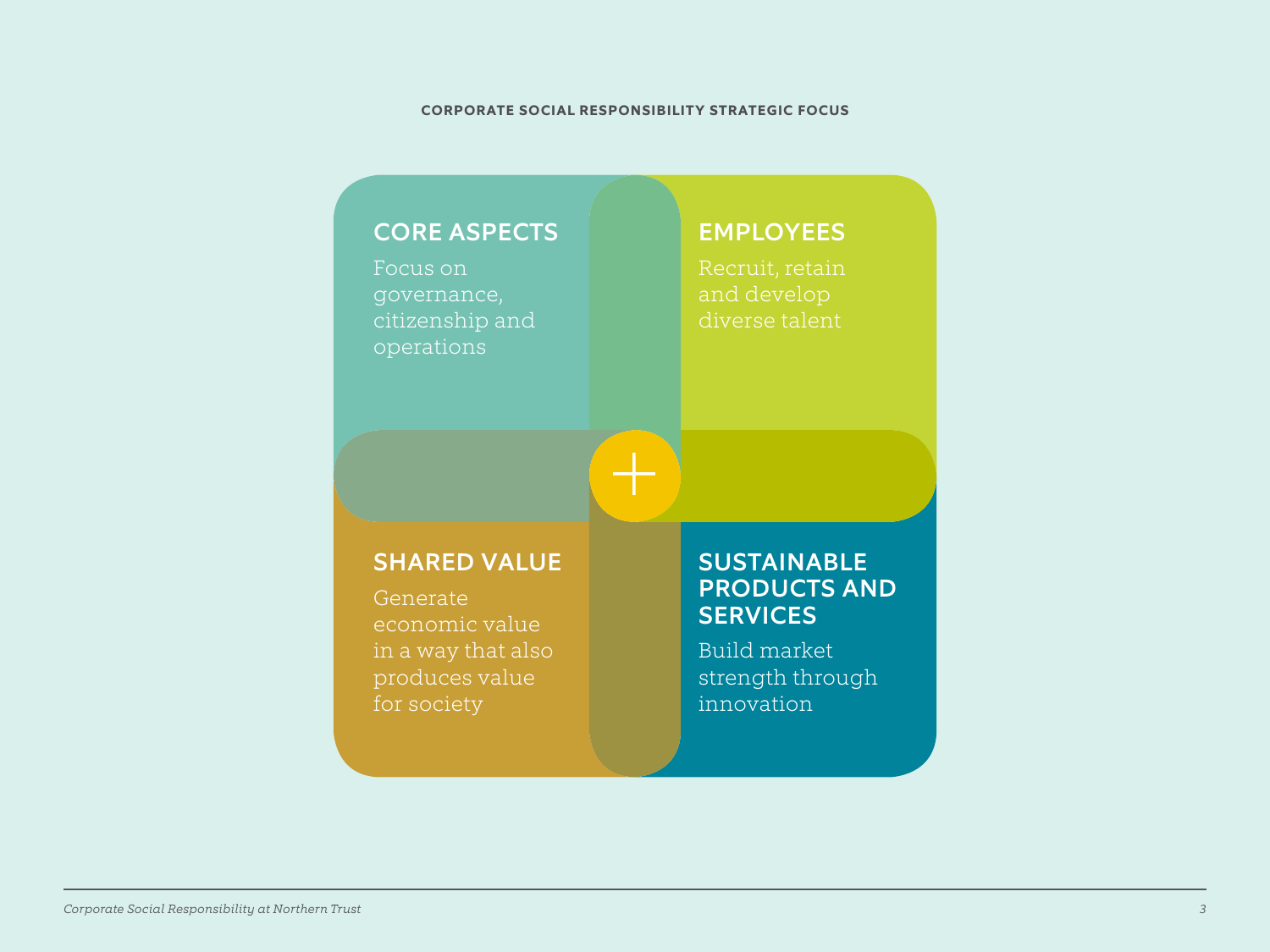#### **CORPORATE SOCIAL RESPONSIBILITY STRATEGIC FOCUS**

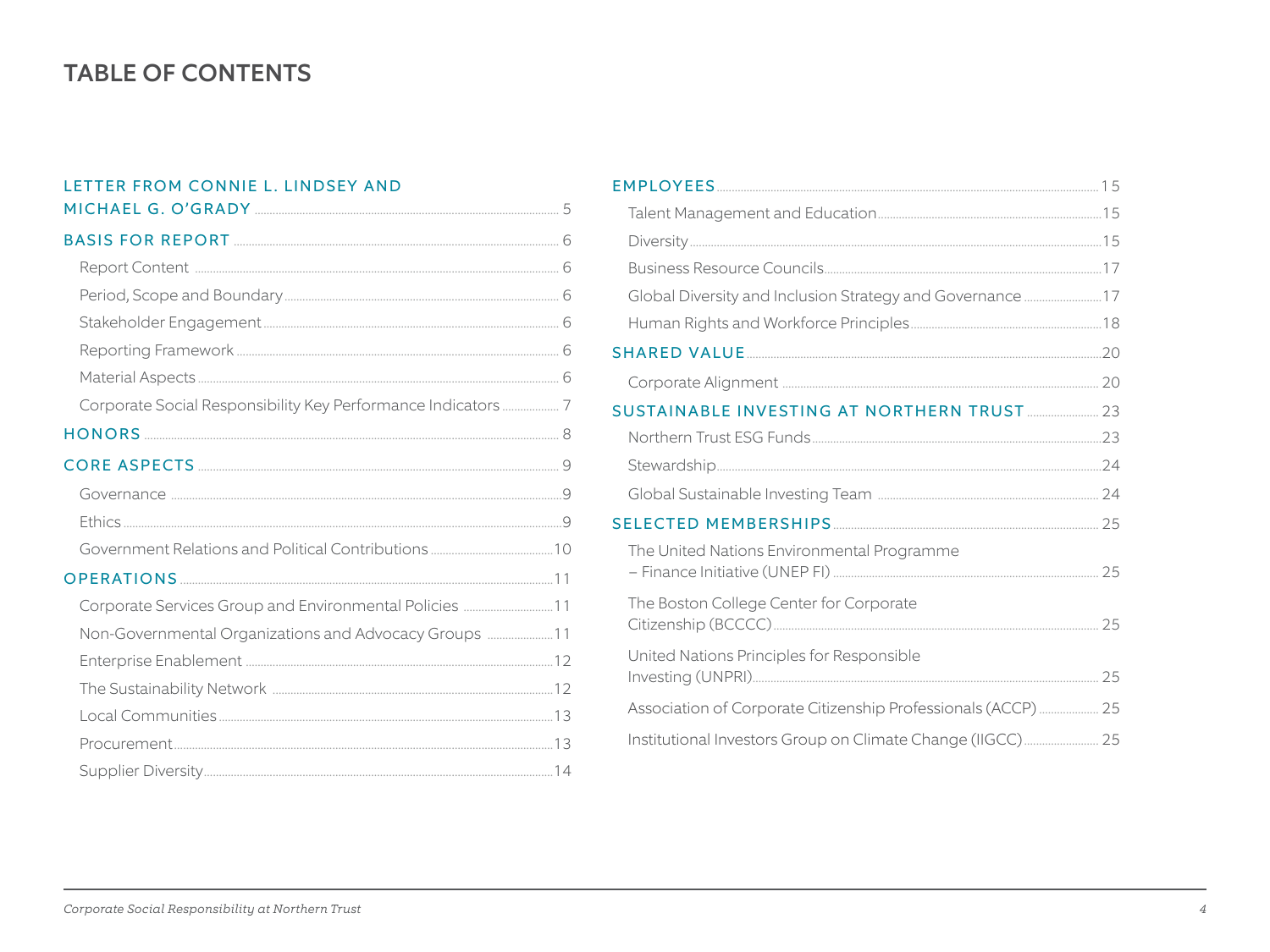# **TABLE OF CONTENTS**

### LETTER FROM CONNIE L. LINDSEY AND

| Corporate Services Group and Environmental Policies 11 |  |
|--------------------------------------------------------|--|
| Non-Governmental Organizations and Advocacy Groups 11  |  |
|                                                        |  |
|                                                        |  |
|                                                        |  |
|                                                        |  |
|                                                        |  |

| Global Diversity and Inclusion Strategy and Governance  17    |  |
|---------------------------------------------------------------|--|
|                                                               |  |
|                                                               |  |
|                                                               |  |
| SUSTAINABLE INVESTING AT NORTHERN TRUST  23                   |  |
|                                                               |  |
|                                                               |  |
|                                                               |  |
|                                                               |  |
| The United Nations Environmental Programme                    |  |
| The Boston College Center for Corporate                       |  |
| United Nations Principles for Responsible                     |  |
| Association of Corporate Citizenship Professionals (ACCP)  25 |  |
| Institutional Investors Group on Climate Change (IIGCC) 25    |  |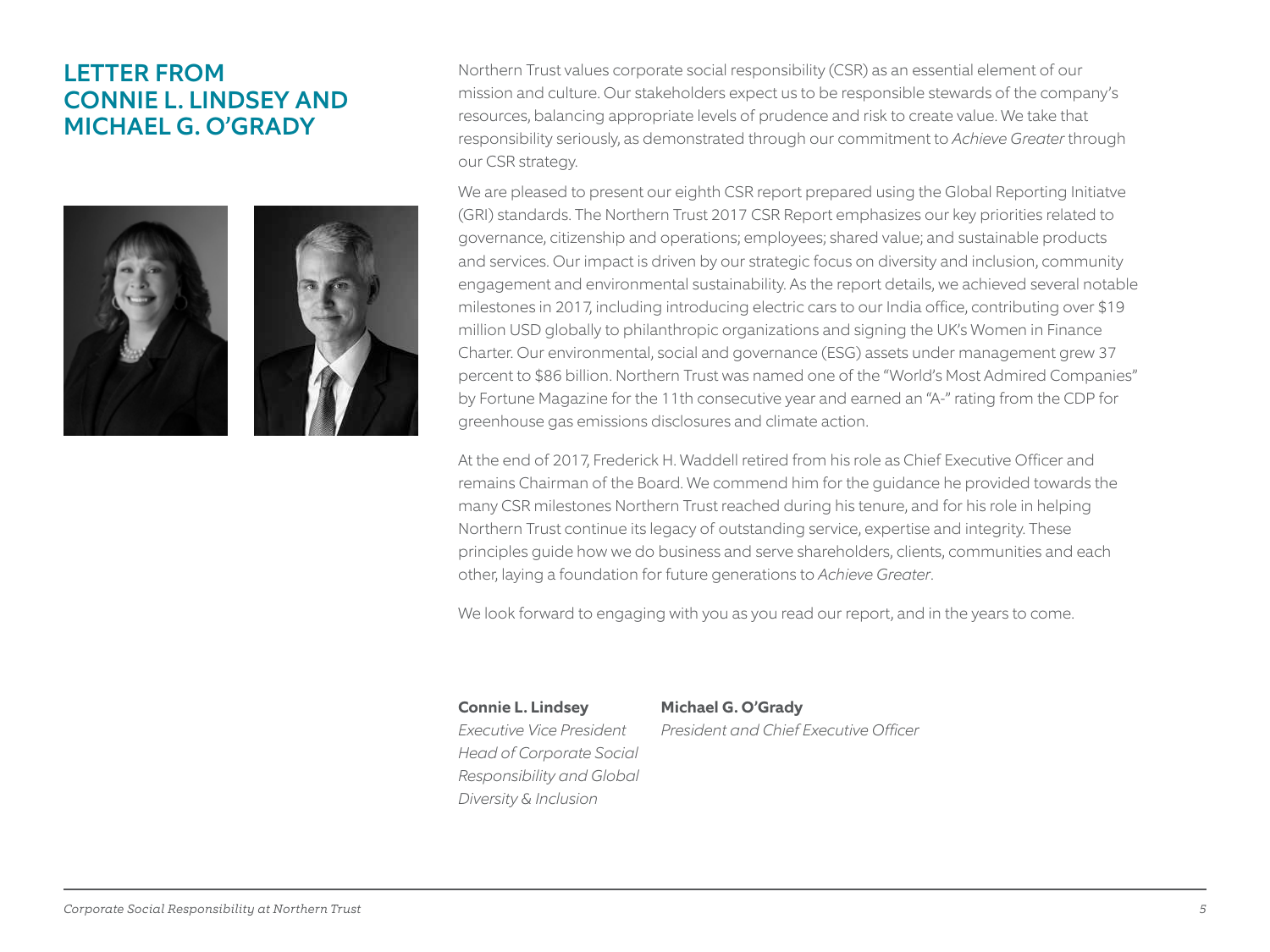# LETTER FROM CONNIE L. LINDSEY AND MICHAEL G. O'GRADY

![](_page_4_Picture_1.jpeg)

![](_page_4_Picture_2.jpeg)

Northern Trust values corporate social responsibility (CSR) as an essential element of our mission and culture. Our stakeholders expect us to be responsible stewards of the company's resources, balancing appropriate levels of prudence and risk to create value. We take that responsibility seriously, as demonstrated through our commitment to *Achieve Greater* through our CSR strategy.

We are pleased to present our eighth CSR report prepared using the Global Reporting Initiatve (GRI) standards. The Northern Trust 2017 CSR Report emphasizes our key priorities related to governance, citizenship and operations; employees; shared value; and sustainable products and services. Our impact is driven by our strategic focus on diversity and inclusion, community engagement and environmental sustainability. As the report details, we achieved several notable milestones in 2017, including introducing electric cars to our India office, contributing over \$19 million USD globally to philanthropic organizations and signing the UK's Women in Finance Charter. Our environmental, social and governance (ESG) assets under management grew 37 percent to \$86 billion. Northern Trust was named one of the "World's Most Admired Companies" by Fortune Magazine for the 11th consecutive year and earned an "A-" rating from the CDP for greenhouse gas emissions disclosures and climate action.

At the end of 2017, Frederick H. Waddell retired from his role as Chief Executive Officer and remains Chairman of the Board. We commend him for the guidance he provided towards the many CSR milestones Northern Trust reached during his tenure, and for his role in helping Northern Trust continue its legacy of outstanding service, expertise and integrity. These principles guide how we do business and serve shareholders, clients, communities and each other, laying a foundation for future generations to *Achieve Greater*.

We look forward to engaging with you as you read our report, and in the years to come.

**Connie L. Lindsey Michael G. O'Grady**  *Head of Corporate Social Responsibility and Global Diversity & Inclusion*

*Executive Vice President President and Chief Executive Officer*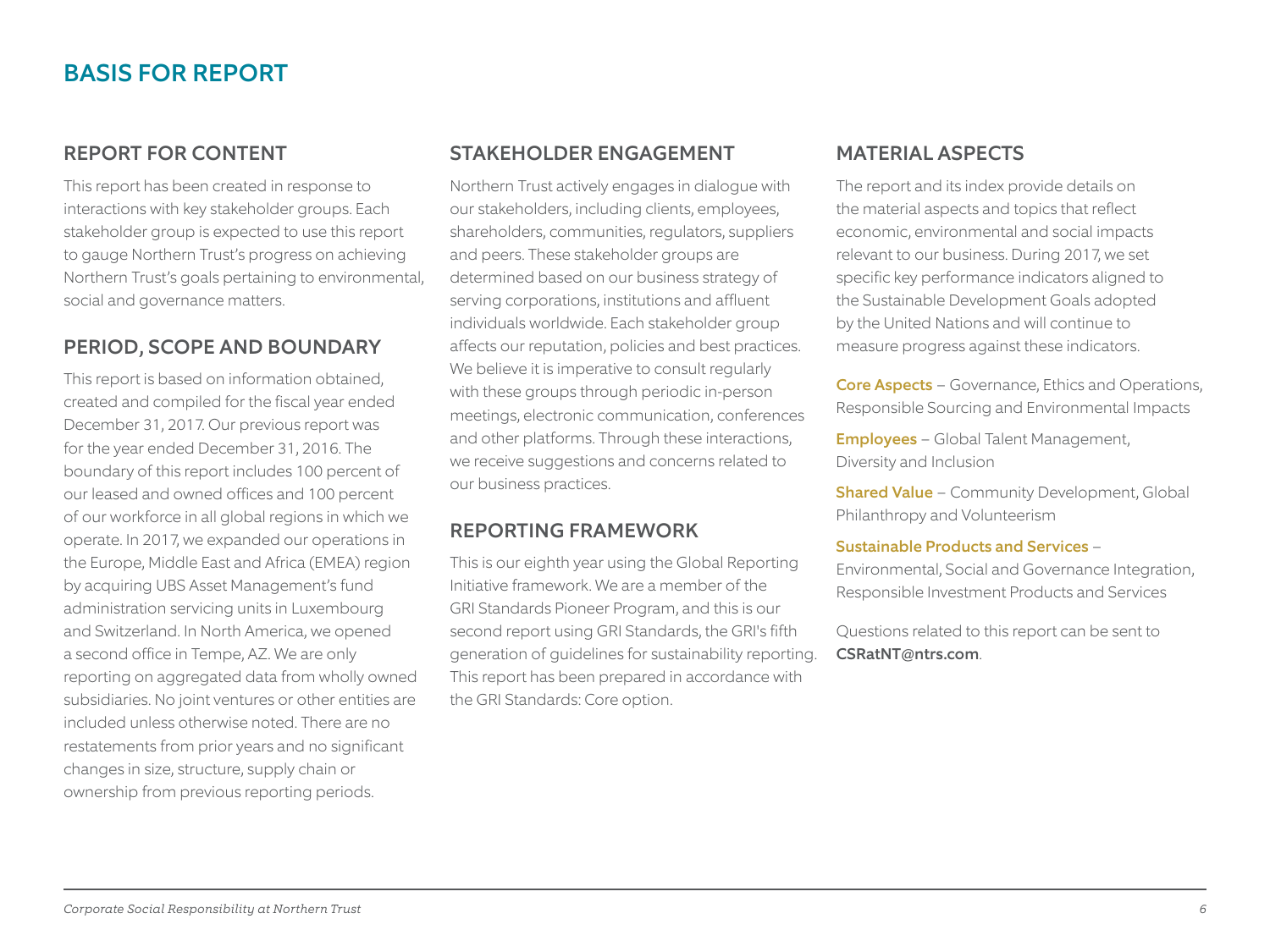# BASIS FOR REPORT

## REPORT FOR CONTENT

This report has been created in response to interactions with key stakeholder groups. Each stakeholder group is expected to use this report to gauge Northern Trust's progress on achieving Northern Trust's goals pertaining to environmental, social and governance matters.

#### PERIOD, SCOPE AND BOUNDARY

This report is based on information obtained, created and compiled for the fiscal year ended December 31, 2017. Our previous report was for the year ended December 31, 2016. The boundary of this report includes 100 percent of our leased and owned offices and 100 percent of our workforce in all global regions in which we operate. In 2017, we expanded our operations in the Europe, Middle East and Africa (EMEA) region by acquiring UBS Asset Management's fund administration servicing units in Luxembourg and Switzerland. In North America, we opened a second office in Tempe, AZ. We are only reporting on aggregated data from wholly owned subsidiaries. No joint ventures or other entities are included unless otherwise noted. There are no restatements from prior years and no significant changes in size, structure, supply chain or ownership from previous reporting periods.

#### STAKEHOLDER ENGAGEMENT

Northern Trust actively engages in dialogue with our stakeholders, including clients, employees, shareholders, communities, regulators, suppliers and peers. These stakeholder groups are determined based on our business strategy of serving corporations, institutions and affluent individuals worldwide. Each stakeholder group affects our reputation, policies and best practices. We believe it is imperative to consult regularly with these groups through periodic in-person meetings, electronic communication, conferences and other platforms. Through these interactions, we receive suggestions and concerns related to our business practices.

#### REPORTING FRAMEWORK

This is our eighth year using the Global Reporting Initiative framework. We are a member of the GRI Standards Pioneer Program, and this is our second report using GRI Standards, the GRI's fifth generation of guidelines for sustainability reporting. This report has been prepared in accordance with the GRI Standards: Core option.

## MATERIAL ASPECTS

The report and its index provide details on the material aspects and topics that reflect economic, environmental and social impacts relevant to our business. During 2017, we set specific key performance indicators aligned to the Sustainable Development Goals adopted by the United Nations and will continue to measure progress against these indicators.

Core Aspects - Governance, Ethics and Operations, Responsible Sourcing and Environmental Impacts

**Employees** - Global Talent Management, Diversity and Inclusion

**Shared Value** - Community Development, Global Philanthropy and Volunteerism

#### Sustainable Products and Services -

Environmental, Social and Governance Integration, Responsible Investment Products and Services

Questions related to this report can be sent to CSRatNT@ntrs.com.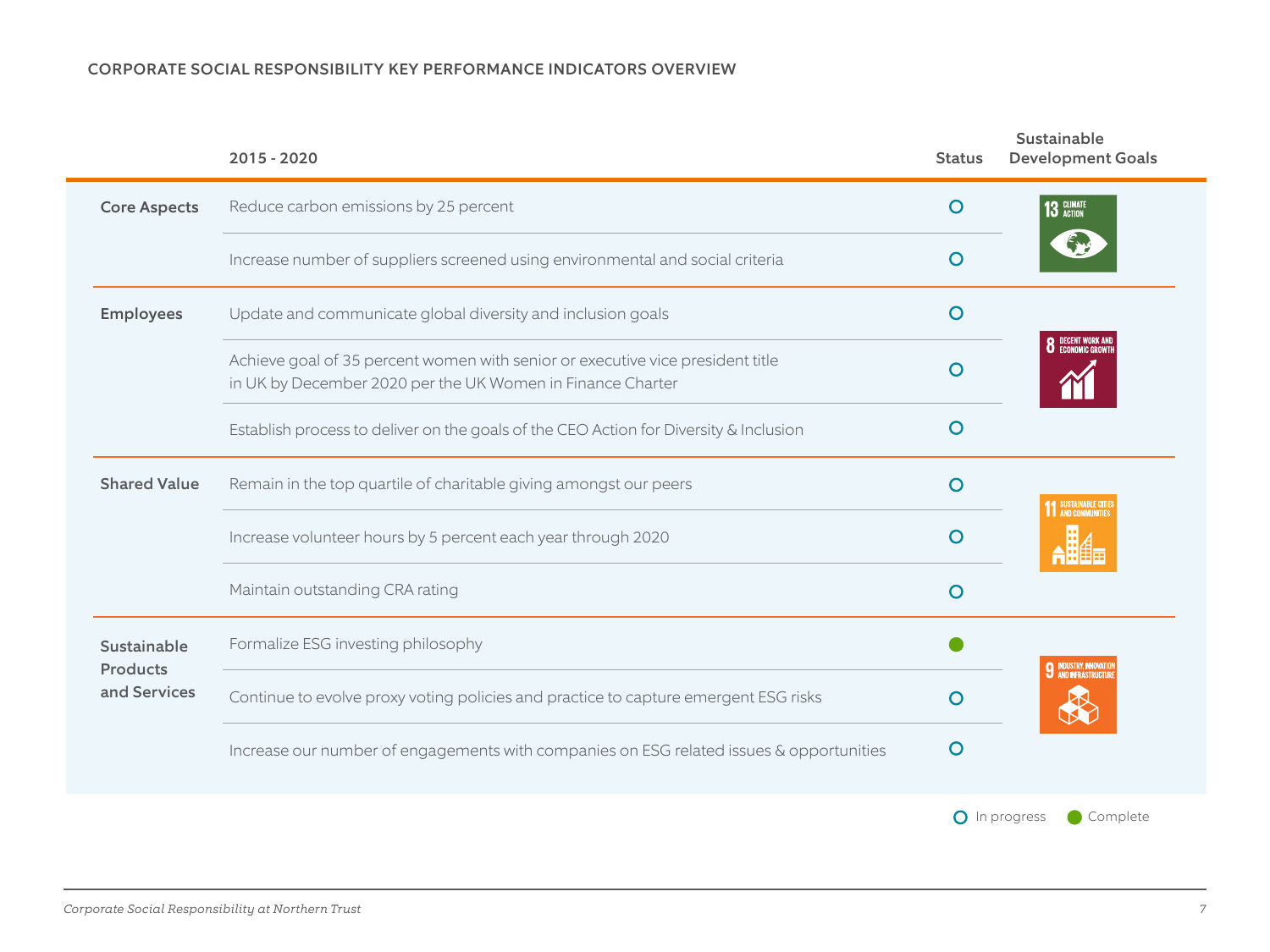#### CORPORATE SOCIAL RESPONSIBILITY KEY PERFORMANCE INDICATORS OVERVIEW

|                          | 2015 - 2020                                                                                                                                  | <b>Status</b> | Sustainable<br><b>Development Goals</b> |
|--------------------------|----------------------------------------------------------------------------------------------------------------------------------------------|---------------|-----------------------------------------|
| <b>Core Aspects</b>      | Reduce carbon emissions by 25 percent                                                                                                        |               | 13 GLIMATE                              |
|                          | Increase number of suppliers screened using environmental and social criteria                                                                | $\circ$       |                                         |
| <b>Employees</b>         | Update and communicate global diversity and inclusion goals                                                                                  | $\circ$       |                                         |
|                          | Achieve goal of 35 percent women with senior or executive vice president title<br>in UK by December 2020 per the UK Women in Finance Charter | O             | DECENT WORK AND<br>ECONOMIC GROWTI      |
|                          | Establish process to deliver on the goals of the CEO Action for Diversity & Inclusion                                                        | $\circ$       |                                         |
| <b>Shared Value</b>      | Remain in the top quartile of charitable giving amongst our peers                                                                            | $\circ$       | <b>1 SUSTAINABLE CITI</b>               |
|                          | Increase volunteer hours by 5 percent each year through 2020                                                                                 | O             |                                         |
|                          | Maintain outstanding CRA rating                                                                                                              | $\circ$       |                                         |
| Sustainable              | Formalize ESG investing philosophy                                                                                                           |               |                                         |
| Products<br>and Services | Continue to evolve proxy voting policies and practice to capture emergent ESG risks                                                          | O             |                                         |
|                          | Increase our number of engagements with companies on ESG related issues & opportunities                                                      | O             |                                         |
|                          |                                                                                                                                              |               | <b>O</b> In progress<br>Complete        |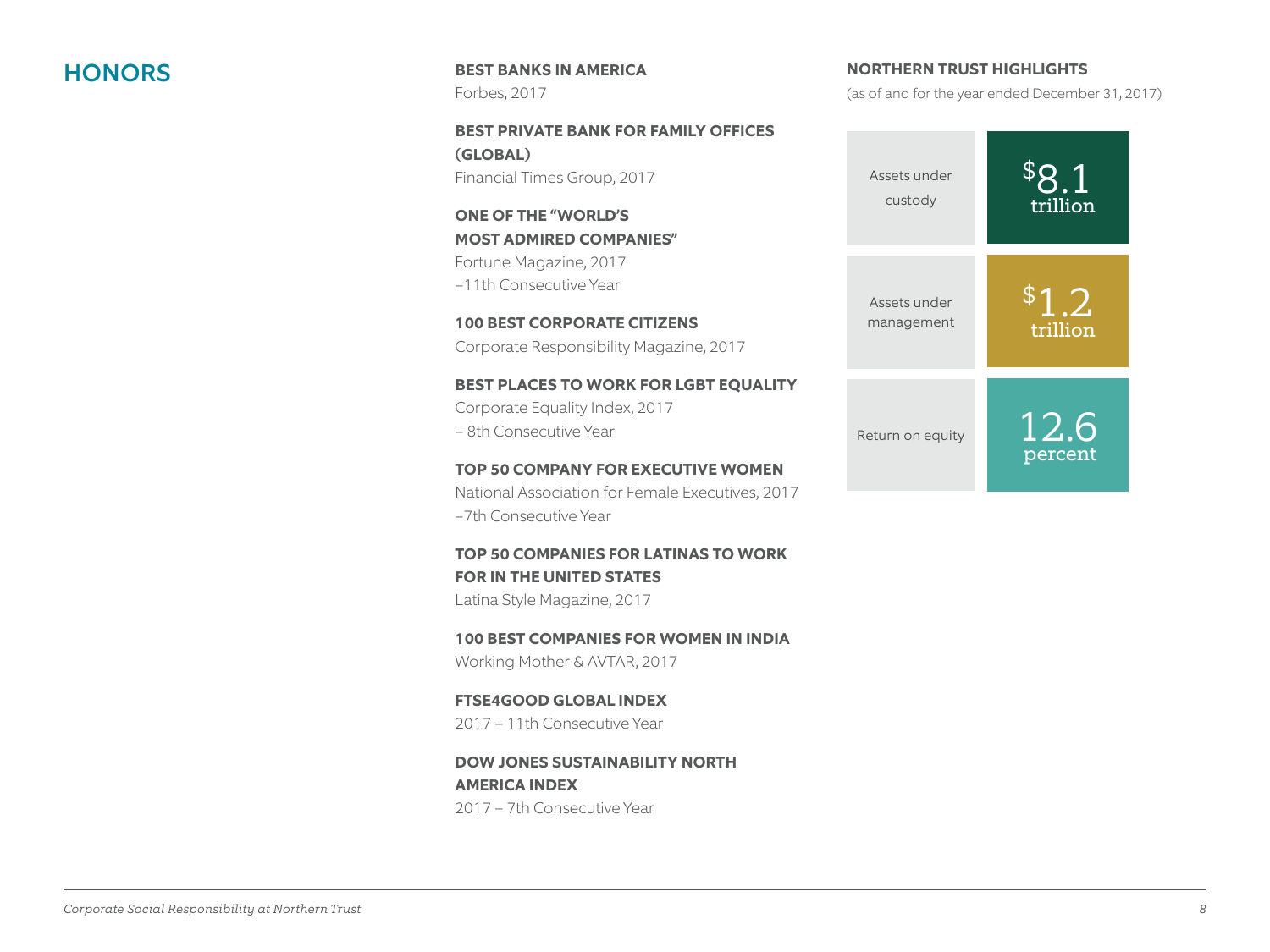**HONORS** BEST BANKS IN AMERICA Forbes, 2017

> **BEST PRIVATE BANK FOR FAMILY OFFICES (GLOBAL)** Financial Times Group, 2017

**ONE OF THE "WORLD'S MOST ADMIRED COMPANIES"** Fortune Magazine, 2017 –11th Consecutive Year

**100 BEST CORPORATE CITIZENS** Corporate Responsibility Magazine, 2017

**BEST PLACES TO WORK FOR LGBT EQUALITY** Corporate Equality Index, 2017 – 8th Consecutive Year

**TOP 50 COMPANY FOR EXECUTIVE WOMEN** National Association for Female Executives, 2017 –7th Consecutive Year

**TOP 50 COMPANIES FOR LATINAS TO WORK FOR IN THE UNITED STATES** Latina Style Magazine, 2017

**100 BEST COMPANIES FOR WOMEN IN INDIA** Working Mother & AVTAR, 2017

**FTSE4GOOD GLOBAL INDEX** 2017 – 11th Consecutive Year

**DOW JONES SUSTAINABILITY NORTH AMERICA INDEX** 2017 – 7th Consecutive Year

**NORTHERN TRUST HIGHLIGHTS** 

(as of and for the year ended December 31, 2017)

![](_page_7_Figure_13.jpeg)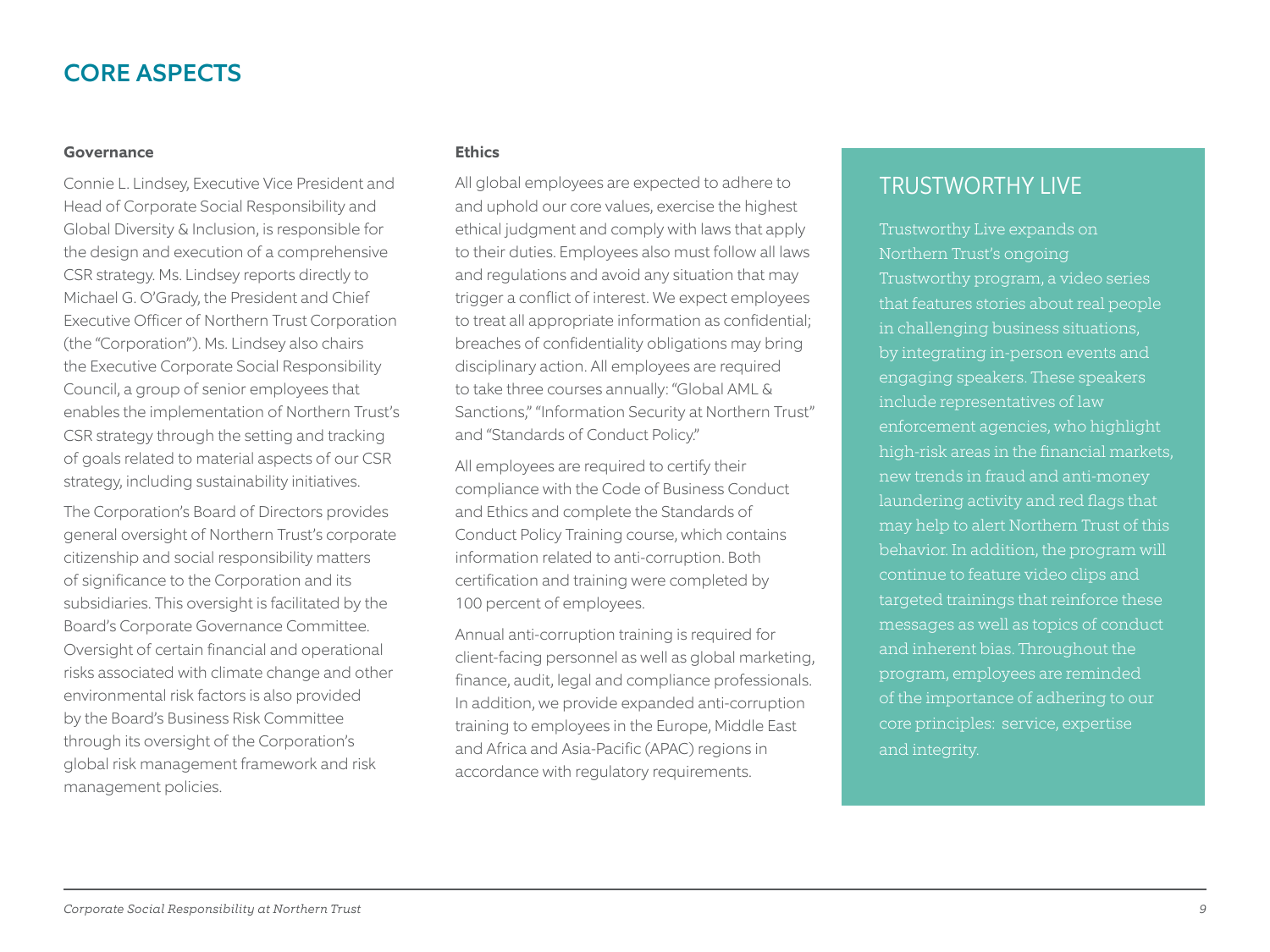# CORE ASPECTS

#### **Governance**

Connie L. Lindsey, Executive Vice President and Head of Corporate Social Responsibility and Global Diversity & Inclusion, is responsible for the design and execution of a comprehensive CSR strategy. Ms. Lindsey reports directly to Michael G. O'Grady, the President and Chief Executive Officer of Northern Trust Corporation (the "Corporation"). Ms. Lindsey also chairs the Executive Corporate Social Responsibility Council, a group of senior employees that enables the implementation of Northern Trust's CSR strategy through the setting and tracking of goals related to material aspects of our CSR strategy, including sustainability initiatives.

The Corporation's Board of Directors provides general oversight of Northern Trust's corporate citizenship and social responsibility matters of significance to the Corporation and its subsidiaries. This oversight is facilitated by the Board's Corporate Governance Committee. Oversight of certain financial and operational risks associated with climate change and other environmental risk factors is also provided by the Board's Business Risk Committee through its oversight of the Corporation's global risk management framework and risk management policies.

#### **Ethics**

All global employees are expected to adhere to and uphold our core values, exercise the highest ethical judgment and comply with laws that apply to their duties. Employees also must follow all laws and regulations and avoid any situation that may trigger a conflict of interest. We expect employees to treat all appropriate information as confidential; breaches of confidentiality obligations may bring disciplinary action. All employees are required to take three courses annually: "Global AML & Sanctions," "Information Security at Northern Trust" and "Standards of Conduct Policy."

All employees are required to certify their compliance with the Code of Business Conduct and Ethics and complete the Standards of Conduct Policy Training course, which contains information related to anti-corruption. Both certification and training were completed by 100 percent of employees.

Annual anti-corruption training is required for client-facing personnel as well as global marketing, finance, audit, legal and compliance professionals. In addition, we provide expanded anti-corruption training to employees in the Europe, Middle East and Africa and Asia-Pacific (APAC) regions in accordance with regulatory requirements.

# TRUSTWORTHY LIVE

Trustworthy Live expands on Northern Trust's ongoing Trustworthy program, a video series that features stories about real people in challenging business situations, by integrating in-person events and engaging speakers. These speakers include representatives of law enforcement agencies, who highlight high-risk areas in the financial markets, new trends in fraud and anti-money laundering activity and red flags that may help to alert Northern Trust of this continue to feature video clips and targeted trainings that reinforce these messages as well as topics of conduct and inherent bias. Throughout the program, employees are reminded core principles: service, expertise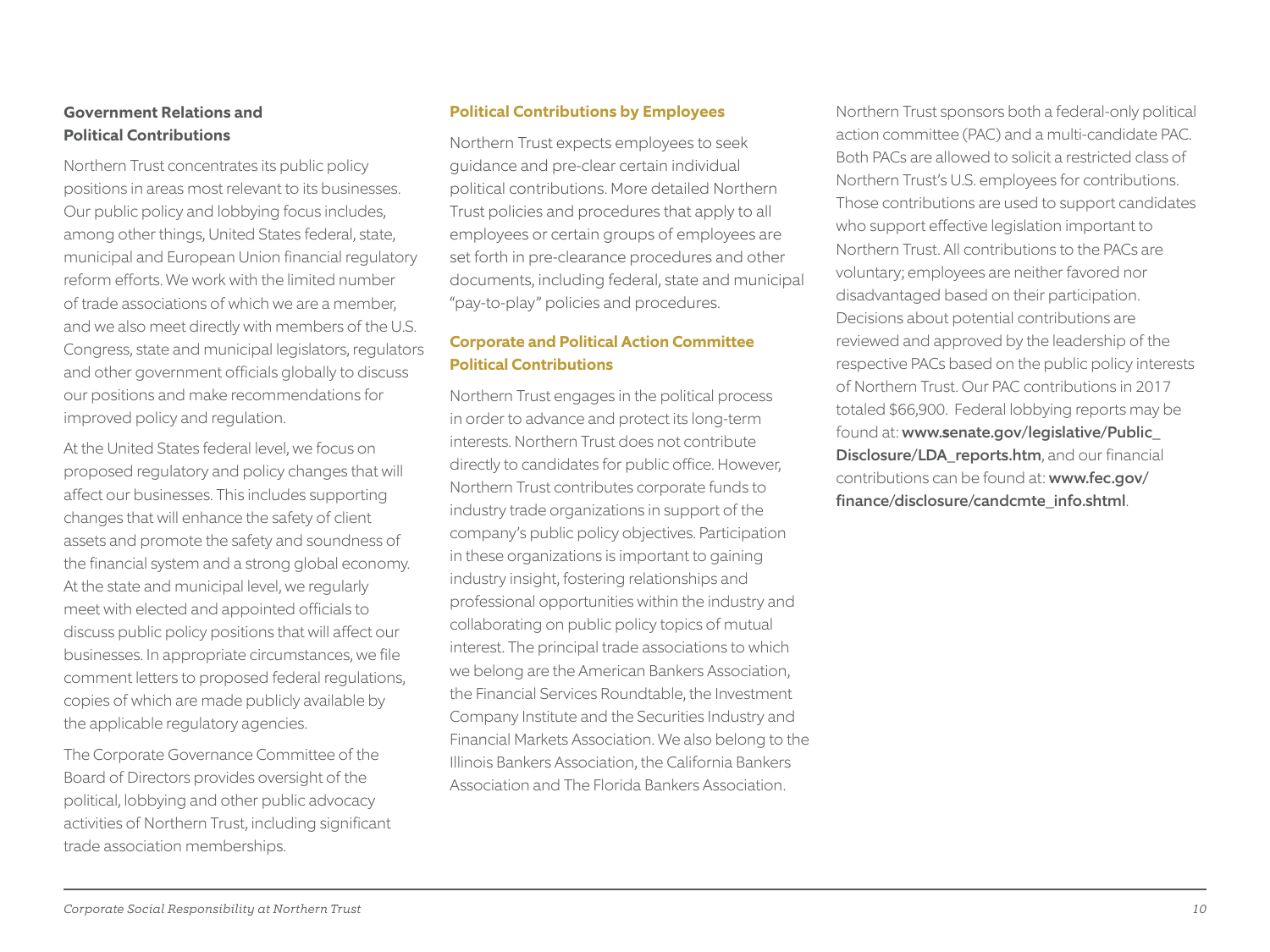#### **Government Relations and Political Contributions**

Northern Trust concentrates its public policy positions in areas most relevant to its businesses. Our public policy and lobbying focus includes, among other things, United States federal, state, municipal and European Union financial regulatory reform efforts. We work with the limited number of trade associations of which we are a member, and we also meet directly with members of the U.S. Congress, state and municipal legislators, regulators and other government officials globally to discuss our positions and make recommendations for improved policy and regulation.

At the United States federal level, we focus on proposed regulatory and policy changes that will affect our businesses. This includes supporting changes that will enhance the safety of client assets and promote the safety and soundness of the financial system and a strong global economy. At the state and municipal level, we regularly meet with elected and appointed officials to discuss public policy positions that will affect our businesses. In appropriate circumstances, we file comment letters to proposed federal regulations, copies of which are made publicly available by the applicable regulatory agencies.

The Corporate Governance Committee of the Board of Directors provides oversight of the political, lobbying and other public advocacy activities of Northern Trust, including significant trade association memberships.

#### **Political Contributions by Employees**

Northern Trust expects employees to seek guidance and pre-clear certain individual political contributions. More detailed Northern Trust policies and procedures that apply to all employees or certain groups of employees are set forth in pre-clearance procedures and other documents, including federal, state and municipal "pay-to-play" policies and procedures.

#### **Corporate and Political Action Committee Political Contributions**

Northern Trust engages in the political process in order to advance and protect its long-term interests. Northern Trust does not contribute directly to candidates for public office. However, Northern Trust contributes corporate funds to industry trade organizations in support of the company's public policy objectives. Participation in these organizations is important to gaining industry insight, fostering relationships and professional opportunities within the industry and collaborating on public policy topics of mutual interest. The principal trade associations to which we belong are the American Bankers Association, the Financial Services Roundtable, the Investment Company Institute and the Securities Industry and Financial Markets Association. We also belong to the Illinois Bankers Association, the California Bankers Association and The Florida Bankers Association.

Northern Trust sponsors both a federal-only political action committee (PAC) and a multi-candidate PAC. Both PACs are allowed to solicit a restricted class of Northern Trust's U.S. employees for contributions. Those contributions are used to support candidates who support effective legislation important to Northern Trust. All contributions to the PACs are voluntary; employees are neither favored nor disadvantaged based on their participation. Decisions about potential contributions are reviewed and approved by the leadership of the respective PACs based on the public policy interests of Northern Trust. Our PAC contributions in 2017 totaled \$66,900. Federal lobbying reports may be found at: www.**s**enate.gov/legislative/Public\_ Disclosure/LDA\_reports.htm, and our financial contributions can be found at: www.fec.gov/ finance/disclosure/candcmte\_info.shtml.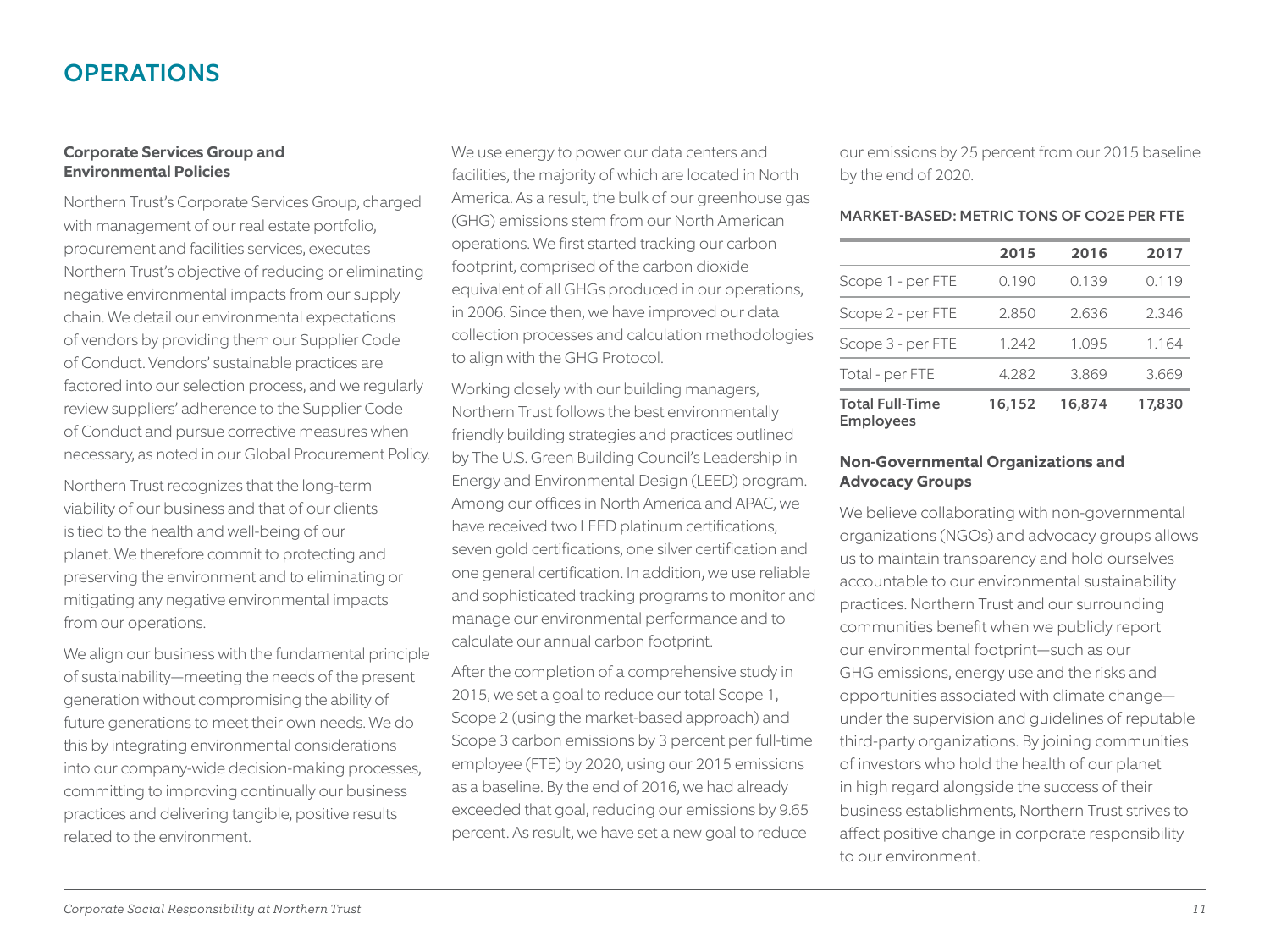# **OPERATIONS**

#### **Corporate Services Group and Environmental Policies**

Northern Trust's Corporate Services Group, charged with management of our real estate portfolio, procurement and facilities services, executes Northern Trust's objective of reducing or eliminating negative environmental impacts from our supply chain. We detail our environmental expectations of vendors by providing them our Supplier Code of Conduct. Vendors' sustainable practices are factored into our selection process, and we regularly review suppliers' adherence to the Supplier Code of Conduct and pursue corrective measures when necessary, as noted in our Global Procurement Policy.

Northern Trust recognizes that the long-term viability of our business and that of our clients is tied to the health and well-being of our planet. We therefore commit to protecting and preserving the environment and to eliminating or mitigating any negative environmental impacts from our operations.

We align our business with the fundamental principle of sustainability—meeting the needs of the present generation without compromising the ability of future generations to meet their own needs. We do this by integrating environmental considerations into our company-wide decision-making processes, committing to improving continually our business practices and delivering tangible, positive results related to the environment.

We use energy to power our data centers and facilities, the majority of which are located in North America. As a result, the bulk of our greenhouse gas (GHG) emissions stem from our North American operations. We first started tracking our carbon footprint, comprised of the carbon dioxide equivalent of all GHGs produced in our operations, in 2006. Since then, we have improved our data collection processes and calculation methodologies to align with the GHG Protocol.

Working closely with our building managers, Northern Trust follows the best environmentally friendly building strategies and practices outlined by The U.S. Green Building Council's Leadership in Energy and Environmental Design (LEED) program. Among our offices in North America and APAC, we have received two LEED platinum certifications, seven gold certifications, one silver certification and one general certification. In addition, we use reliable and sophisticated tracking programs to monitor and manage our environmental performance and to calculate our annual carbon footprint.

After the completion of a comprehensive study in 2015, we set a goal to reduce our total Scope 1, Scope 2 (using the market-based approach) and Scope 3 carbon emissions by 3 percent per full-time employee (FTE) by 2020, using our 2015 emissions as a baseline. By the end of 2016, we had already exceeded that goal, reducing our emissions by 9.65 percent. As result, we have set a new goal to reduce

our emissions by 25 percent from our 2015 baseline by the end of 2020.

#### MARKET-BASED: METRIC TONS OF CO2E PER FTE

|                                            | 2015   | 2016   | 2017   |
|--------------------------------------------|--------|--------|--------|
| Scope 1 - per FTE                          | 0.190  | 0.139  | 0.119  |
| Scope 2 - per FTE                          | 2.850  | 2.636  | 2.346  |
| Scope 3 - per FTE                          | 1.242  | 1.095  | 1.164  |
| Total - per FTE                            | 4.282  | 3.869  | 3.669  |
| <b>Total Full-Time</b><br><b>Employees</b> | 16,152 | 16,874 | 17,830 |

#### **Non-Governmental Organizations and Advocacy Groups**

We believe collaborating with non-governmental organizations (NGOs) and advocacy groups allows us to maintain transparency and hold ourselves accountable to our environmental sustainability practices. Northern Trust and our surrounding communities benefit when we publicly report our environmental footprint—such as our GHG emissions, energy use and the risks and opportunities associated with climate change under the supervision and guidelines of reputable third-party organizations. By joining communities of investors who hold the health of our planet in high regard alongside the success of their business establishments, Northern Trust strives to affect positive change in corporate responsibility to our environment.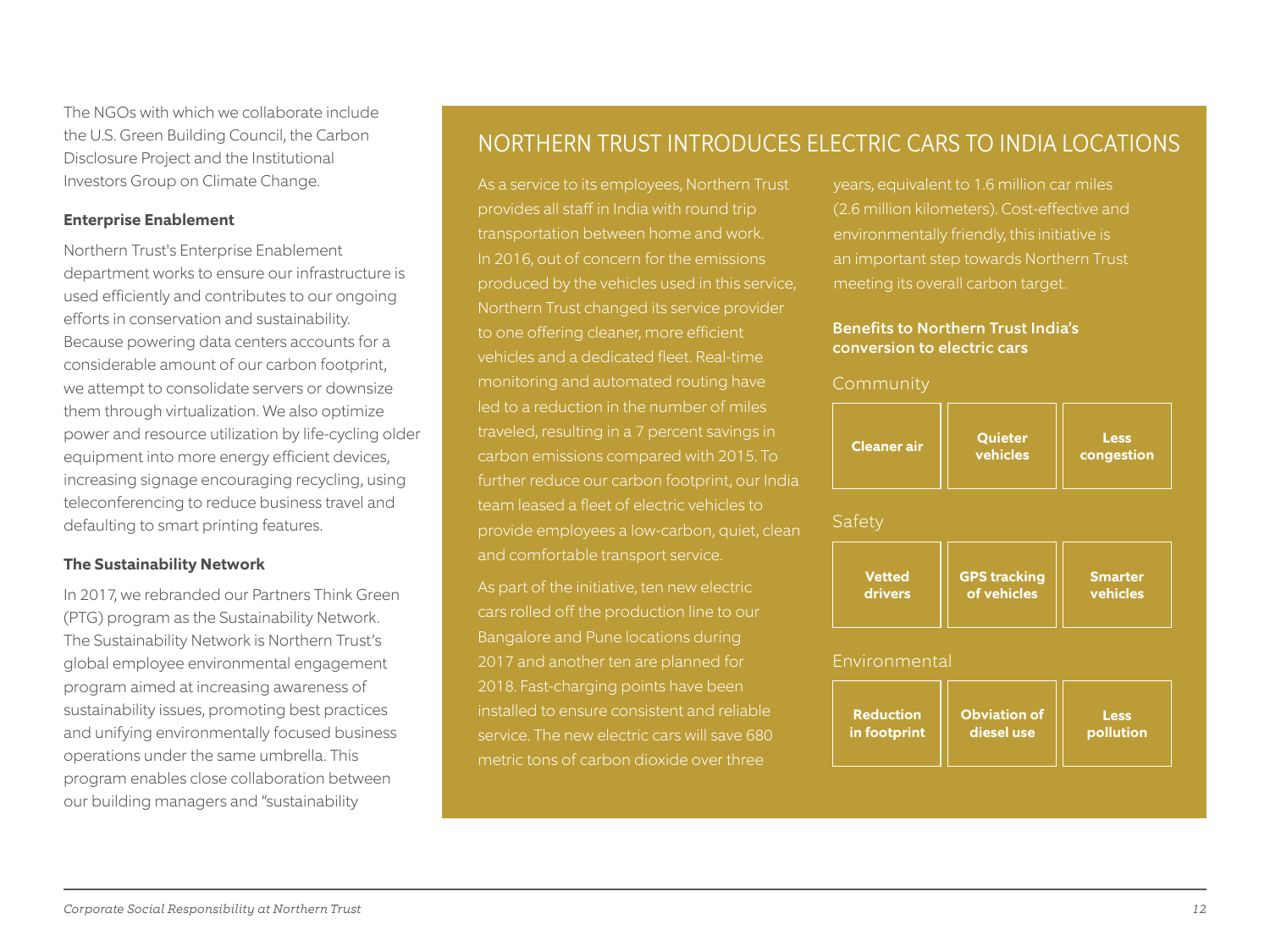The NGOs with which we collaborate include the U.S. Green Building Council, the Carbon Disclosure Project and the Institutional Investors Group on Climate Change.

#### **Enterprise Enablement**

Northern Trust's Enterprise Enablement department works to ensure our infrastructure is used efficiently and contributes to our ongoing efforts in conservation and sustainability. Because powering data centers accounts for a considerable amount of our carbon footprint, we attempt to consolidate servers or downsize them through virtualization. We also optimize power and resource utilization by life-cycling older equipment into more energy efficient devices, increasing signage encouraging recycling, using teleconferencing to reduce business travel and defaulting to smart printing features.

#### **The Sustainability Network**

In 2017, we rebranded our Partners Think Green (PTG) program as the Sustainability Network. The Sustainability Network is Northern Trust's global employee environmental engagement program aimed at increasing awareness of sustainability issues, promoting best practices and unifying environmentally focused business operations under the same umbrella. This program enables close collaboration between our building managers and "sustainability

# NORTHERN TRUST INTRODUCES ELECTRIC CARS TO INDIA LOCATIONS

As a service to its employees, Northern Trust provides all staff in India with round trip transportation between home and work. In 2016, out of concern for the emissions produced by the vehicles used in this service, Northern Trust changed its service provider vehicles and a dedicated fleet. Real-time monitoring and automated routing have led to a reduction in the number of miles traveled, resulting in a 7 percent savings in carbon emissions compared with 2015. To further reduce our carbon footprint, our India team leased a fleet of electric vehicles to provide employees a low-carbon, quiet, clean and comfortable transport service.

As part of the initiative, ten new electric cars rolled off the production line to our Bangalore and Pune locations during 2017 and another ten are planned for 2018. Fast-charging points have been installed to ensure consistent and reliable service. The new electric cars will save 680 metric tons of carbon dioxide over three

years, equivalent to 1.6 million car miles (2.6 million kilometers). Cost-effective and an important step towards Northern Trust meeting its overall carbon target.

#### Benefits to Northern Trust India's conversion to electric cars

| <b>Cleaner</b> air | Quieter<br>vehicles | <b>Less</b><br>congestion |
|--------------------|---------------------|---------------------------|
|--------------------|---------------------|---------------------------|

Safety

| <b>Vetted</b> | <b>GPS tracking</b> | <b>Smarter</b> |
|---------------|---------------------|----------------|
| drivers       | of vehicles         | vehicles       |
|               |                     |                |

#### Environmental

| <b>Reduction</b> | <b>Obviation of</b> | Less      |
|------------------|---------------------|-----------|
| in footprint     | diesel use          | pollution |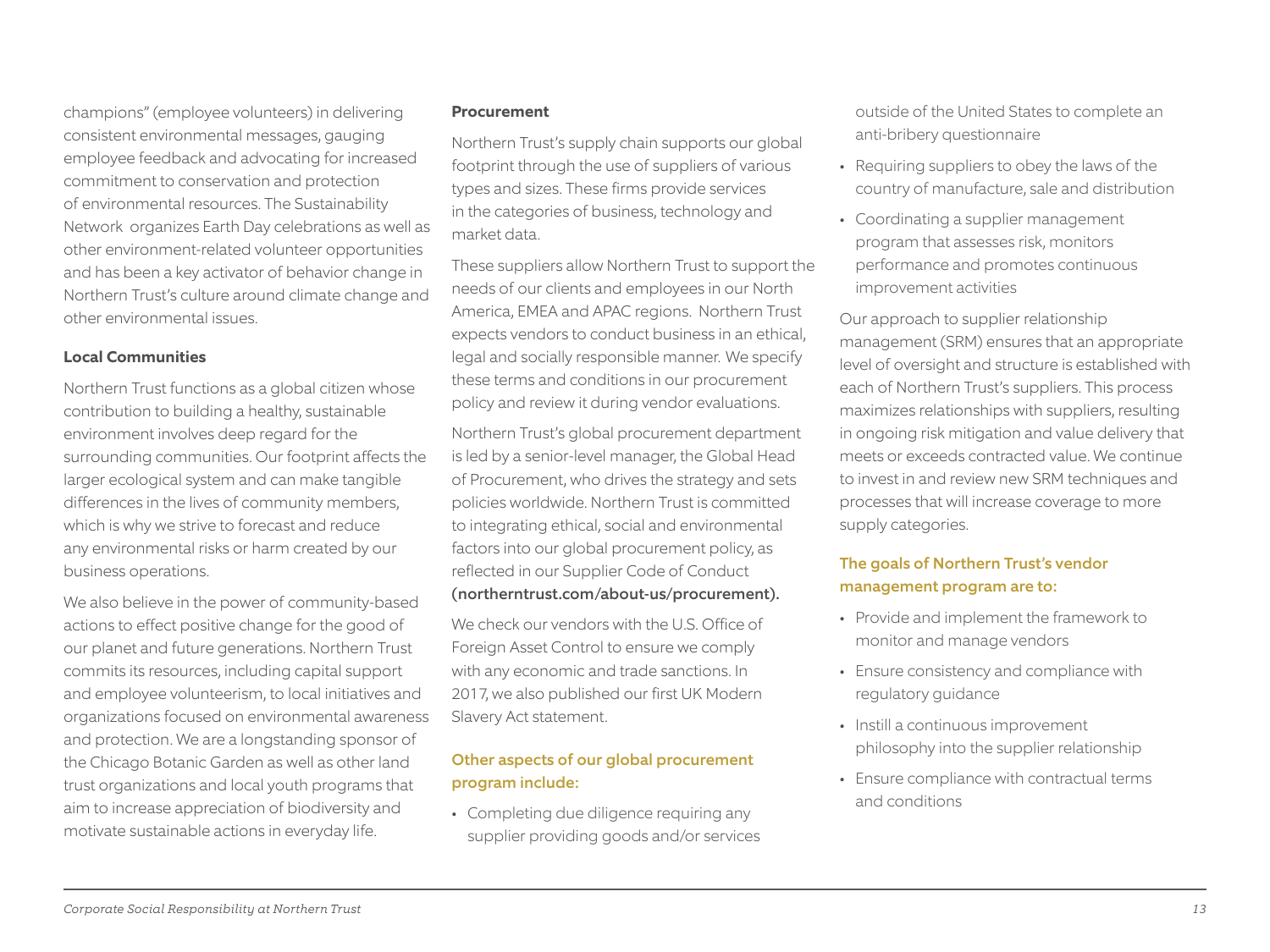champions" (employee volunteers) in delivering consistent environmental messages, gauging employee feedback and advocating for increased commitment to conservation and protection of environmental resources. The Sustainability Network organizes Earth Day celebrations as well as other environment-related volunteer opportunities and has been a key activator of behavior change in Northern Trust's culture around climate change and other environmental issues.

#### **Local Communities**

Northern Trust functions as a global citizen whose contribution to building a healthy, sustainable environment involves deep regard for the surrounding communities. Our footprint affects the larger ecological system and can make tangible differences in the lives of community members, which is why we strive to forecast and reduce any environmental risks or harm created by our business operations.

We also believe in the power of community-based actions to effect positive change for the good of our planet and future generations. Northern Trust commits its resources, including capital support and employee volunteerism, to local initiatives and organizations focused on environmental awareness and protection. We are a longstanding sponsor of the Chicago Botanic Garden as well as other land trust organizations and local youth programs that aim to increase appreciation of biodiversity and motivate sustainable actions in everyday life.

#### **Procurement**

Northern Trust's supply chain supports our global footprint through the use of suppliers of various types and sizes. These firms provide services in the categories of business, technology and market data.

These suppliers allow Northern Trust to support the needs of our clients and employees in our North America, EMEA and APAC regions. Northern Trust expects vendors to conduct business in an ethical, legal and socially responsible manner. We specify these terms and conditions in our procurement policy and review it during vendor evaluations.

Northern Trust's global procurement department is led by a senior-level manager, the Global Head of Procurement, who drives the strategy and sets policies worldwide. Northern Trust is committed to integrating ethical, social and environmental factors into our global procurement policy, as reflected in our Supplier Code of Conduct (northerntrust.com/about-us/procurement).

We check our vendors with the U.S. Office of Foreign Asset Control to ensure we comply with any economic and trade sanctions. In 2017, we also published our first UK Modern Slavery Act statement.

#### Other aspects of our global procurement program include:

• Completing due diligence requiring any supplier providing goods and/or services outside of the United States to complete an anti-bribery questionnaire

- Requiring suppliers to obey the laws of the country of manufacture, sale and distribution
- Coordinating a supplier management program that assesses risk, monitors performance and promotes continuous improvement activities

Our approach to supplier relationship management (SRM) ensures that an appropriate level of oversight and structure is established with each of Northern Trust's suppliers. This process maximizes relationships with suppliers, resulting in ongoing risk mitigation and value delivery that meets or exceeds contracted value. We continue to invest in and review new SRM techniques and processes that will increase coverage to more supply categories.

#### The goals of Northern Trust's vendor management program are to:

- Provide and implement the framework to monitor and manage vendors
- Ensure consistency and compliance with regulatory guidance
- Instill a continuous improvement philosophy into the supplier relationship
- Ensure compliance with contractual terms and conditions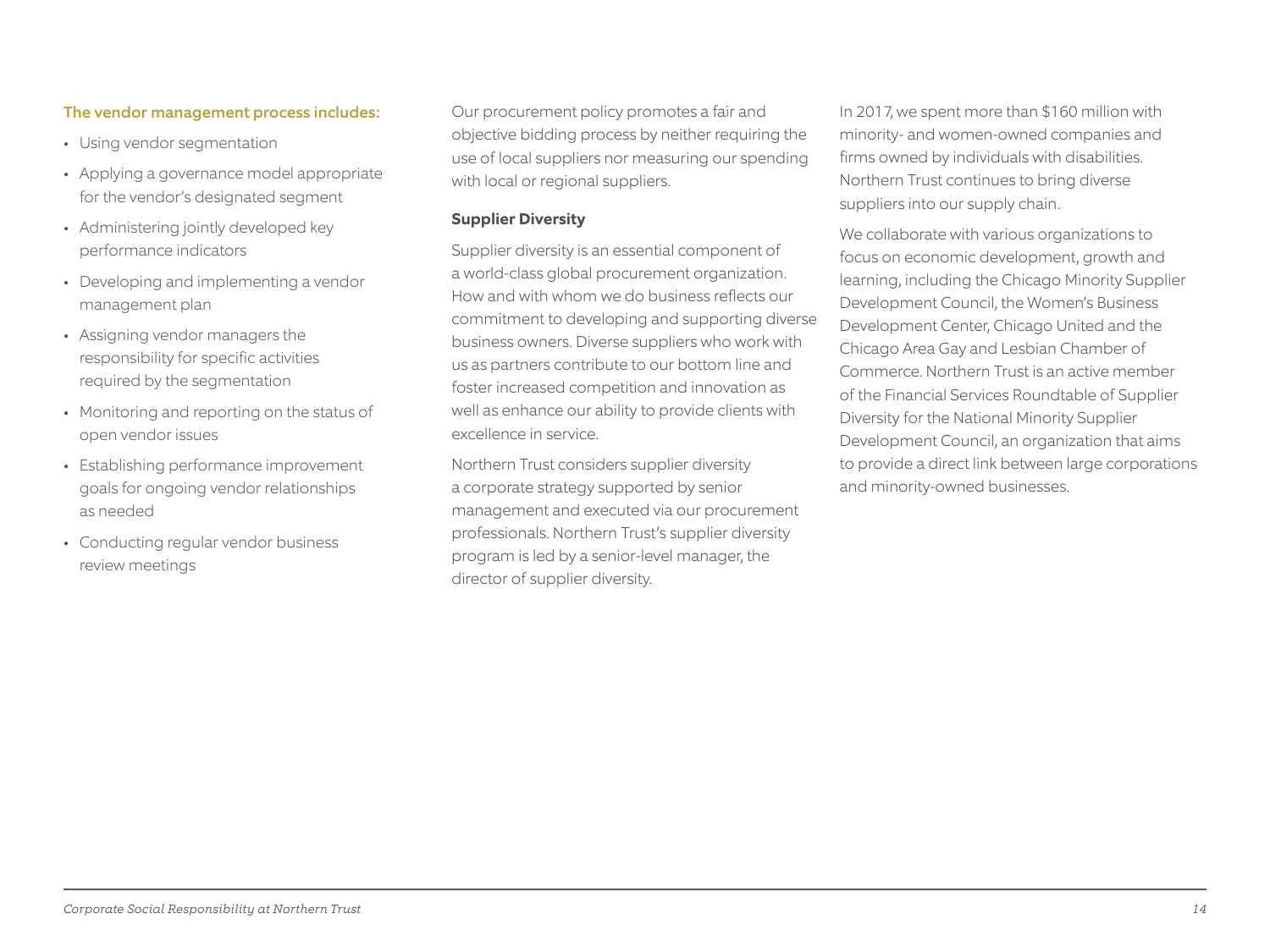#### The vendor management process includes:

- Using vendor segmentation
- Applying a governance model appropriate for the vendor's designated segment
- Administering jointly developed key performance indicators
- Developing and implementing a vendor management plan
- Assigning vendor managers the responsibility for specific activities required by the segmentation
- Monitoring and reporting on the status of open vendor issues
- Establishing performance improvement goals for ongoing vendor relationships as needed
- Conducting regular vendor business review meetings

Our procurement policy promotes a fair and objective bidding process by neither requiring the use of local suppliers nor measuring our spending with local or regional suppliers.

#### **Supplier Diversity**

Supplier diversity is an essential component of a world-class global procurement organization. How and with whom we do business reflects our commitment to developing and supporting diverse business owners. Diverse suppliers who work with us as partners contribute to our bottom line and foster increased competition and innovation as well as enhance our ability to provide clients with excellence in service.

Northern Trust considers supplier diversity a corporate strategy supported by senior management and executed via our procurement professionals. Northern Trust's supplier diversity program is led by a senior-level manager, the director of supplier diversity.

In 2017, we spent more than \$160 million with minority- and women-owned companies and firms owned by individuals with disabilities. Northern Trust continues to bring diverse suppliers into our supply chain.

We collaborate with various organizations to focus on economic development, growth and learning, including the Chicago Minority Supplier Development Council, the Women's Business Development Center, Chicago United and the Chicago Area Gay and Lesbian Chamber of Commerce. Northern Trust is an active member of the Financial Services Roundtable of Supplier Diversity for the National Minority Supplier Development Council, an organization that aims to provide a direct link between large corporations and minority-owned businesses.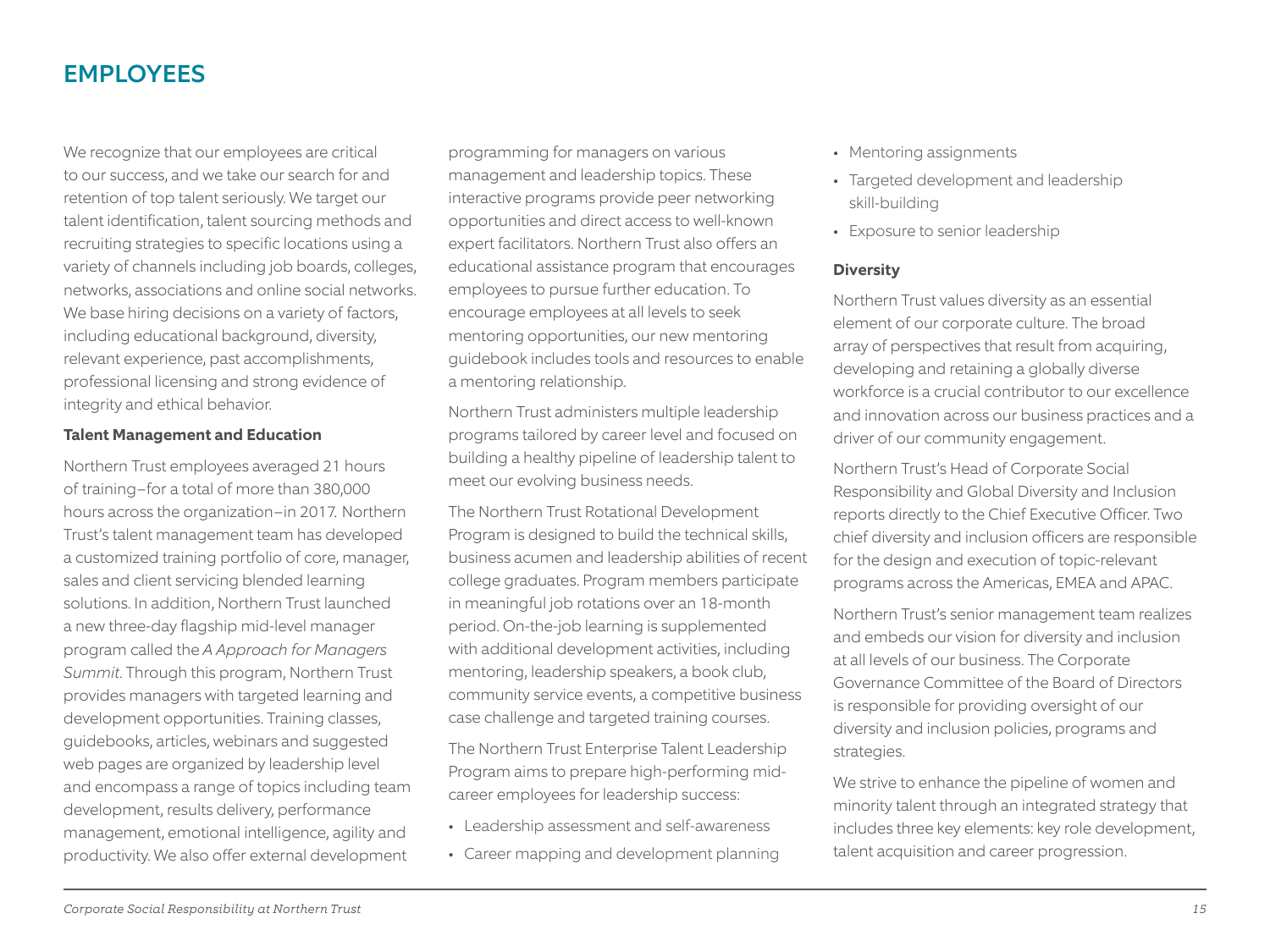# EMPLOYEES

We recognize that our employees are critical to our success, and we take our search for and retention of top talent seriously. We target our talent identification, talent sourcing methods and recruiting strategies to specific locations using a variety of channels including job boards, colleges, networks, associations and online social networks. We base hiring decisions on a variety of factors, including educational background, diversity, relevant experience, past accomplishments, professional licensing and strong evidence of integrity and ethical behavior.

#### **Talent Management and Education**

Northern Trust employees averaged 21 hours of training-for a total of more than 380,000 hours across the organization-in 2017. Northern Trust's talent management team has developed a customized training portfolio of core, manager, sales and client servicing blended learning solutions. In addition, Northern Trust launched a new three-day flagship mid-level manager program called the *A Approach for Managers Summit*. Through this program, Northern Trust provides managers with targeted learning and development opportunities. Training classes, guidebooks, articles, webinars and suggested web pages are organized by leadership level and encompass a range of topics including team development, results delivery, performance management, emotional intelligence, agility and productivity. We also offer external development

programming for managers on various management and leadership topics. These interactive programs provide peer networking opportunities and direct access to well-known expert facilitators. Northern Trust also offers an educational assistance program that encourages employees to pursue further education. To encourage employees at all levels to seek mentoring opportunities, our new mentoring guidebook includes tools and resources to enable a mentoring relationship.

Northern Trust administers multiple leadership programs tailored by career level and focused on building a healthy pipeline of leadership talent to meet our evolving business needs.

The Northern Trust Rotational Development Program is designed to build the technical skills, business acumen and leadership abilities of recent college graduates. Program members participate in meaningful job rotations over an 18-month period. On-the-job learning is supplemented with additional development activities, including mentoring, leadership speakers, a book club, community service events, a competitive business case challenge and targeted training courses.

The Northern Trust Enterprise Talent Leadership Program aims to prepare high-performing midcareer employees for leadership success:

- Leadership assessment and self-awareness
- Career mapping and development planning
- Mentoring assignments
- Targeted development and leadership skill-building
- Exposure to senior leadership

#### **Diversity**

Northern Trust values diversity as an essential element of our corporate culture. The broad array of perspectives that result from acquiring, developing and retaining a globally diverse workforce is a crucial contributor to our excellence and innovation across our business practices and a driver of our community engagement.

Northern Trust's Head of Corporate Social Responsibility and Global Diversity and Inclusion reports directly to the Chief Executive Officer. Two chief diversity and inclusion officers are responsible for the design and execution of topic-relevant programs across the Americas, EMEA and APAC.

Northern Trust's senior management team realizes and embeds our vision for diversity and inclusion at all levels of our business. The Corporate Governance Committee of the Board of Directors is responsible for providing oversight of our diversity and inclusion policies, programs and strategies.

We strive to enhance the pipeline of women and minority talent through an integrated strategy that includes three key elements: key role development, talent acquisition and career progression.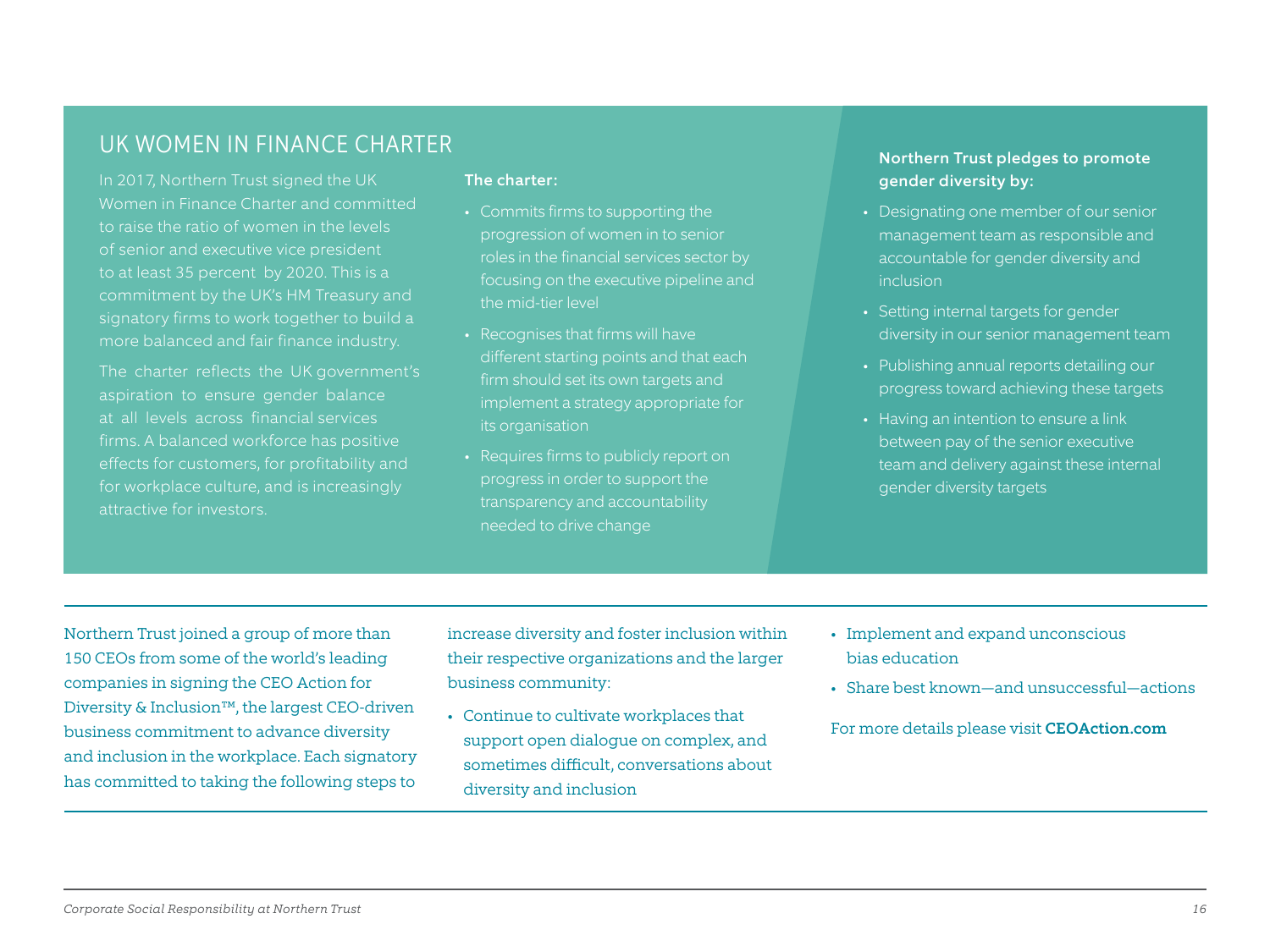# UK WOMEN IN FINANCE CHARTER NORTH Trust pledges to promote

In 2017, Northern Trust signed the UK Women in Finance Charter and committed to raise the ratio of women in the levels of senior and executive vice president signatory firms to work together to build a

The charter reflects the UK government's aspiration to ensure gender balance at all levels across financial services firms. A balanced workforce has positive effects for customers, for profitability and for workplace culture, and is increasingly attractive for investors.

#### The charter:

- Commits firms to supporting the progression of women in to senior roles in the financial services sector by focusing on the executive pipeline and the mid-tier level
- Recognises that firms will have different starting points and that each firm should set its own targets and implement a strategy appropriate for its organisation
- Requires firms to publicly report on progress in order to support the transparency and accountability needed to drive change

# gender diversity by:

- Designating one member of our senior management team as responsible and accountable for gender diversity and inclusion
- Setting internal targets for gender diversity in our senior management team
- Publishing annual reports detailing our progress toward achieving these targets
- Having an intention to ensure a link between pay of the senior executive team and delivery against these internal gender diversity targets

Northern Trust joined a group of more than 150 CEOs from some of the world's leading companies in signing the CEO Action for Diversity & Inclusion™, the largest CEO-driven business commitment to advance diversity and inclusion in the workplace. Each signatory has committed to taking the following steps to

increase diversity and foster inclusion within their respective organizations and the larger business community:

- Continue to cultivate workplaces that support open dialogue on complex, and sometimes difficult, conversations about diversity and inclusion
- Implement and expand unconscious bias education
- Share best known—and unsuccessful—actions

For more details please visit CEOAction.com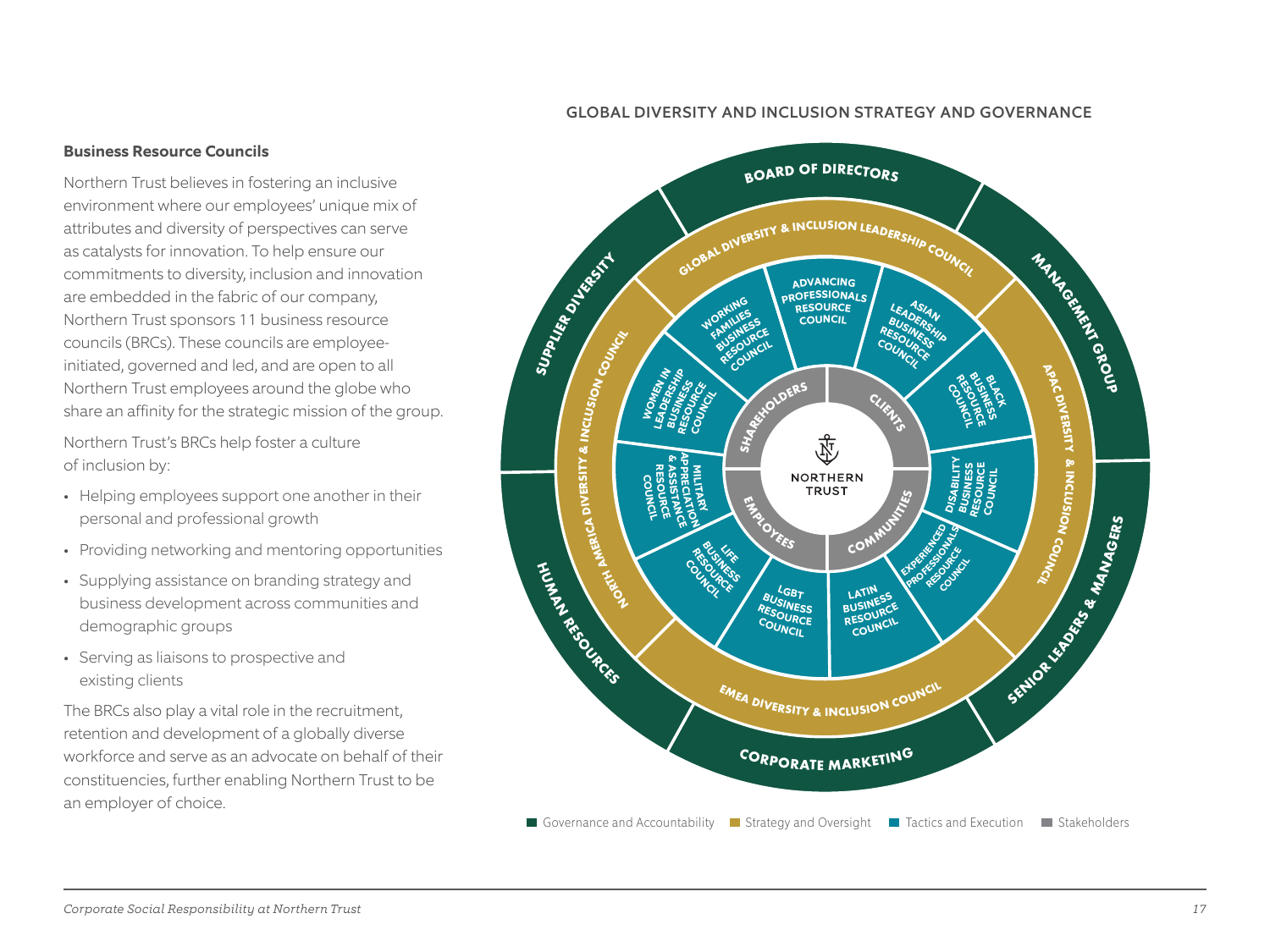#### GLOBAL DIVERSITY AND INCLUSION STRATEGY AND GOVERNANCE

#### **Business Resource Councils**

Northern Trust believes in fostering an inclusive environment where our employees' unique mix of attributes and diversity of perspectives can serve as catalysts for innovation. To help ensure our commitments to diversity, inclusion and innovation are embedded in the fabric of our company, Northern Trust sponsors 11 business resource councils (BRCs). These councils are employeeinitiated, governed and led, and are open to all Northern Trust employees around the globe who share an affinity for the strategic mission of the group.

Northern Trust's BRCs help foster a culture of inclusion by:

- Helping employees support one another in their personal and professional growth
- Providing networking and mentoring opportunities
- Supplying assistance on branding strategy and business development across communities and demographic groups
- Serving as liaisons to prospective and existing clients

The BRCs also play a vital role in the recruitment, retention and development of a globally diverse workforce and serve as an advocate on behalf of their constituencies, further enabling Northern Trust to be an employer of choice.

![](_page_16_Figure_9.jpeg)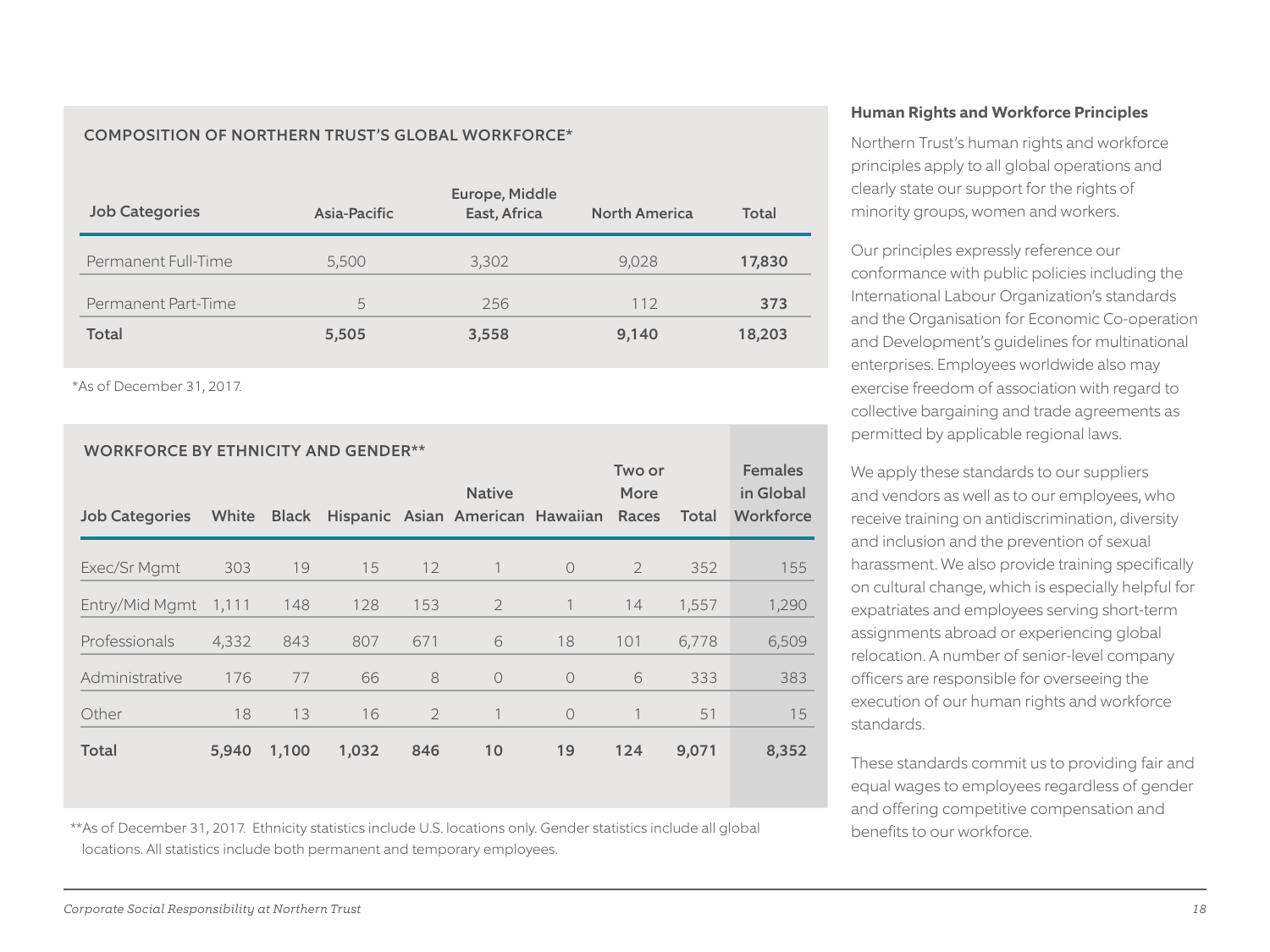#### COMPOSITION OF NORTHERN TRUST'S GLOBAL WORKFORCE\*

| <b>Job Categories</b> | Asia-Pacific | Europe, Middle<br>East, Africa | <b>North America</b> | Total  |
|-----------------------|--------------|--------------------------------|----------------------|--------|
| Permanent Full-Time   | 5,500        | 3,302                          | 9,028                | 17,830 |
| Permanent Part-Time   | 5            | 256                            | 112                  | 373    |
| Total                 | 5,505        | 3,558                          | 9,140                | 18,203 |

\*As of December 31, 2017.

| <b>WORKFORCE BY ETHNICITY AND GENDER**</b><br>Two or |       |              |       |                |                                  | <b>Females</b> |                |       |           |
|------------------------------------------------------|-------|--------------|-------|----------------|----------------------------------|----------------|----------------|-------|-----------|
|                                                      |       |              |       |                | <b>Native</b>                    |                | More           |       | in Global |
| <b>Job Categories</b>                                | White | <b>Black</b> |       |                | Hispanic Asian American Hawaiian |                | Races          | Total | Workforce |
| Exec/Sr Mgmt                                         | 303   | 19           | 15    | 12             |                                  | $\bigcirc$     | $\overline{2}$ | 352   | 155       |
| Entry/Mid Mgmt                                       | 1,111 | 148          | 128   | 153            | $\overline{2}$                   |                | 14             | 1,557 | 1,290     |
| Professionals                                        | 4,332 | 843          | 807   | 671            | 6                                | 18             | 101            | 6,778 | 6,509     |
| Administrative                                       | 176   | 77           | 66    | 8              | $\circ$                          | $\Omega$       | 6              | 333   | 383       |
| Other                                                | 18    | 13           | 16    | $\overline{2}$ |                                  | $\bigcirc$     |                | 51    | 15        |
| <b>Total</b>                                         | 5,940 | 1,100        | 1,032 | 846            | 10                               | 19             | 124            | 9,071 | 8,352     |

\*\*As of December 31, 2017. Ethnicity statistics include U.S. locations only. Gender statistics include all global locations. All statistics include both permanent and temporary employees.

#### **Human Rights and Workforce Principles**

Northern Trust's human rights and workforce principles apply to all global operations and clearly state our support for the rights of minority groups, women and workers.

Our principles expressly reference our conformance with public policies including the International Labour Organization's standards and the Organisation for Economic Co-operation and Development's guidelines for multinational enterprises. Employees worldwide also may exercise freedom of association with regard to collective bargaining and trade agreements as permitted by applicable regional laws.

We apply these standards to our suppliers and vendors as well as to our employees, who receive training on antidiscrimination, diversity and inclusion and the prevention of sexual harassment. We also provide training specifically on cultural change, which is especially helpful for expatriates and employees serving short-term assignments abroad or experiencing global relocation. A number of senior-level company officers are responsible for overseeing the execution of our human rights and workforce standards.

These standards commit us to providing fair and equal wages to employees regardless of gender and offering competitive compensation and benefits to our workforce.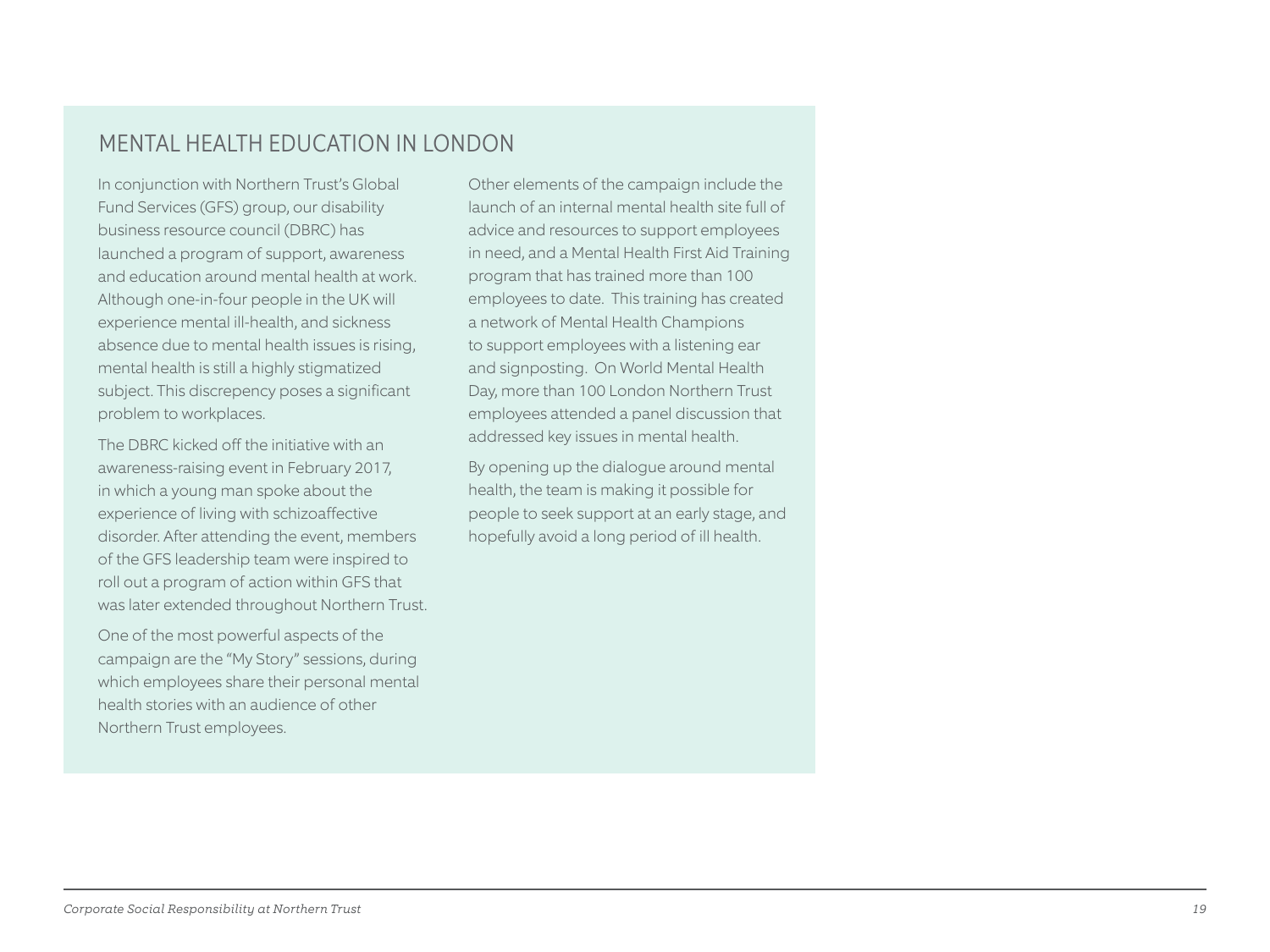# MENTAL HEALTH EDUCATION IN LONDON

In conjunction with Northern Trust's Global Fund Services (GFS) group, our disability business resource council (DBRC) has launched a program of support, awareness and education around mental health at work. Although one-in-four people in the UK will experience mental ill-health, and sickness absence due to mental health issues is rising, mental health is still a highly stigmatized subject. This discrepency poses a significant problem to workplaces.

The DBRC kicked off the initiative with an awareness-raising event in February 2017, in which a young man spoke about the experience of living with schizoaffective disorder. After attending the event, members of the GFS leadership team were inspired to roll out a program of action within GFS that was later extended throughout Northern Trust.

One of the most powerful aspects of the campaign are the "My Story" sessions, during which employees share their personal mental health stories with an audience of other Northern Trust employees.

Other elements of the campaign include the launch of an internal mental health site full of advice and resources to support employees in need, and a Mental Health First Aid Training program that has trained more than 100 employees to date. This training has created a network of Mental Health Champions to support employees with a listening ear and signposting. On World Mental Health Day, more than 100 London Northern Trust employees attended a panel discussion that addressed key issues in mental health.

By opening up the dialogue around mental health, the team is making it possible for people to seek support at an early stage, and hopefully avoid a long period of ill health.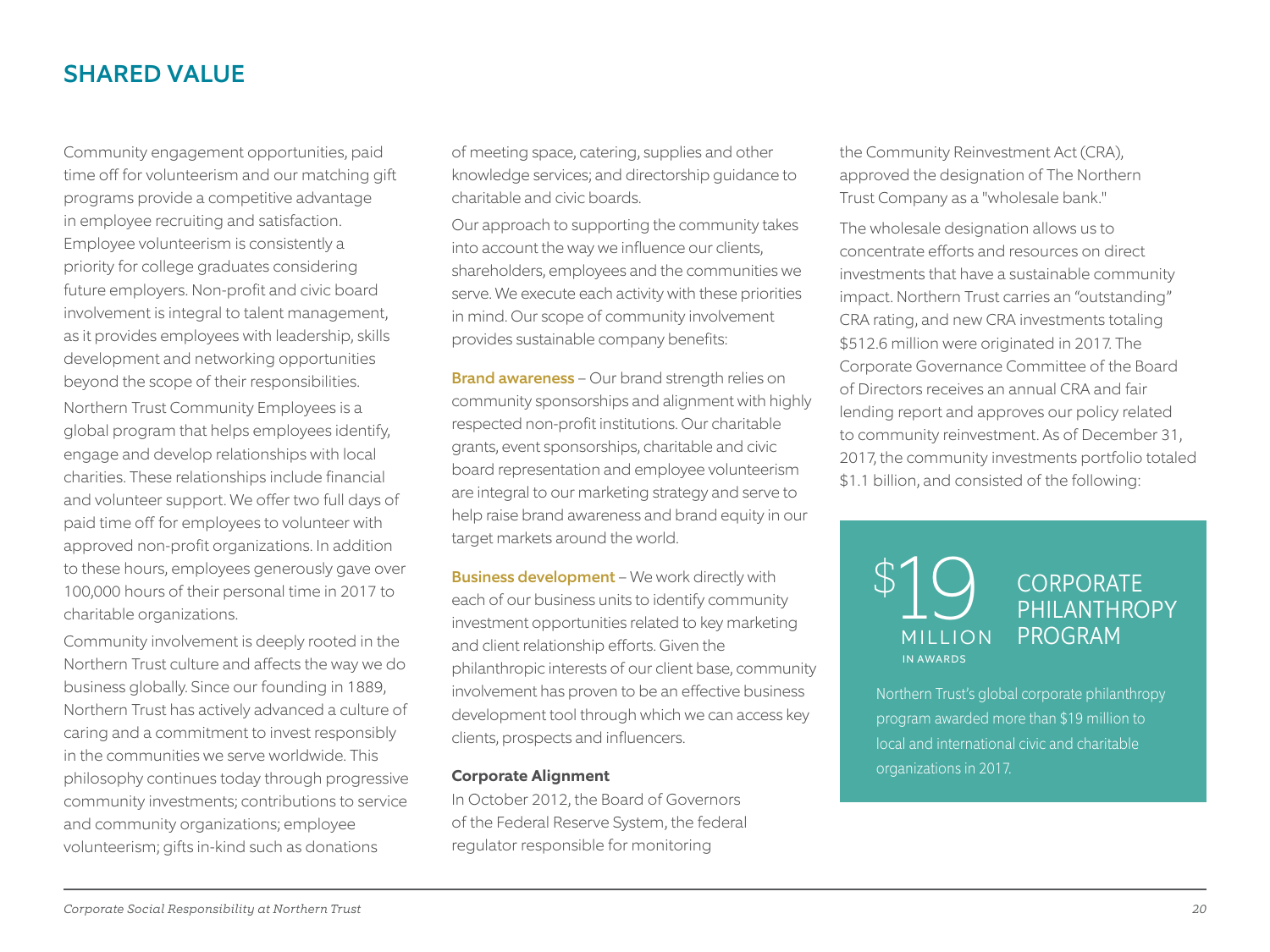# SHARED VALUE

Community engagement opportunities, paid time off for volunteerism and our matching gift programs provide a competitive advantage in employee recruiting and satisfaction. Employee volunteerism is consistently a priority for college graduates considering future employers. Non-profit and civic board involvement is integral to talent management, as it provides employees with leadership, skills development and networking opportunities beyond the scope of their responsibilities. Northern Trust Community Employees is a global program that helps employees identify, engage and develop relationships with local charities. These relationships include financial and volunteer support. We offer two full days of paid time off for employees to volunteer with approved non-profit organizations. In addition to these hours, employees generously gave over 100,000 hours of their personal time in 2017 to charitable organizations.

Community involvement is deeply rooted in the Northern Trust culture and affects the way we do business globally. Since our founding in 1889, Northern Trust has actively advanced a culture of caring and a commitment to invest responsibly in the communities we serve worldwide. This philosophy continues today through progressive community investments; contributions to service and community organizations; employee volunteerism; gifts in-kind such as donations

of meeting space, catering, supplies and other knowledge services; and directorship guidance to charitable and civic boards.

Our approach to supporting the community takes into account the way we influence our clients, shareholders, employees and the communities we serve. We execute each activity with these priorities in mind. Our scope of community involvement provides sustainable company benefits:

Brand awareness – Our brand strength relies on community sponsorships and alignment with highly respected non-profit institutions. Our charitable grants, event sponsorships, charitable and civic board representation and employee volunteerism are integral to our marketing strategy and serve to help raise brand awareness and brand equity in our target markets around the world.

**Business development** – We work directly with each of our business units to identify community investment opportunities related to key marketing and client relationship efforts. Given the philanthropic interests of our client base, community involvement has proven to be an effective business development tool through which we can access key clients, prospects and influencers.

#### **Corporate Alignment**

In October 2012, the Board of Governors of the Federal Reserve System, the federal regulator responsible for monitoring

the Community Reinvestment Act (CRA), approved the designation of The Northern Trust Company as a "wholesale bank."

The wholesale designation allows us to concentrate efforts and resources on direct investments that have a sustainable community impact. Northern Trust carries an "outstanding" CRA rating, and new CRA investments totaling \$512.6 million were originated in 2017. The Corporate Governance Committee of the Board of Directors receives an annual CRA and fair lending report and approves our policy related to community reinvestment. As of December 31, 2017, the community investments portfolio totaled \$1.1 billion, and consisted of the following:

![](_page_19_Picture_11.jpeg)

**CORPORATE** PHII ANTHROPY PROGRAM

Northern Trust's global corporate philanthropy program awarded more than \$19 million to local and international civic and charitable organizations in 2017.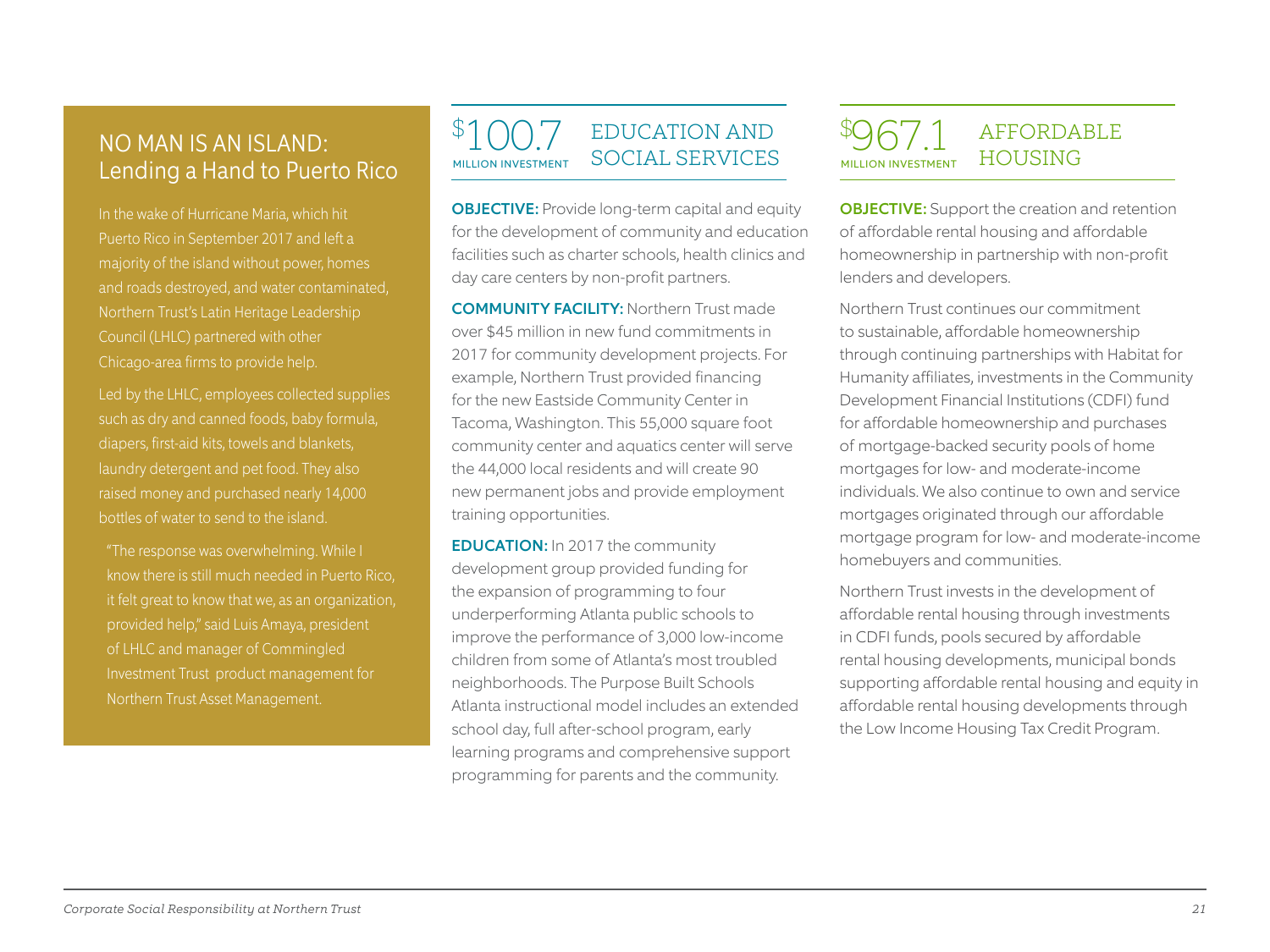# Lending a Hand to Puerto Rico

In the wake of Hurricane Maria, which hit Puerto Rico in September 2017 and left a majority of the island without power, homes and roads destroyed, and water contaminated, Northern Trust's Latin Heritage Leadership Council (LHLC) partnered with other Chicago-area firms to provide help.

such as dry and canned foods, baby formula, diapers, first-aid kits, towels and blankets, laundry detergent and pet food. They also raised money and purchased nearly 14,000 bottles of water to send to the island.

know there is still much needed in Puerto Rico, it felt great to know that we, as an organization, provided help," said Luis Amaya, president of LHLC and manager of Commingled Investment Trust product management for Northern Trust Asset Management.

#### **MILLION INVESTMENT** EDUCATION AND NO MAN IS AN ISLAND: PRODUCED UP TO U. AND SOCIAL SERVICES

 $\boldsymbol{\varphi}$ 

OBJECTIVE: Provide long-term capital and equity for the development of community and education facilities such as charter schools, health clinics and day care centers by non-profit partners.

COMMUNITY FACILITY: Northern Trust made over \$45 million in new fund commitments in 2017 for community development projects. For example, Northern Trust provided financing for the new Eastside Community Center in Tacoma, Washington. This 55,000 square foot community center and aquatics center will serve the 44,000 local residents and will create 90 new permanent jobs and provide employment training opportunities.

EDUCATION: In 2017 the community development group provided funding for the expansion of programming to four underperforming Atlanta public schools to improve the performance of 3,000 low-income children from some of Atlanta's most troubled neighborhoods. The Purpose Built Schools Atlanta instructional model includes an extended school day, full after-school program, early learning programs and comprehensive support programming for parents and the community.

#### $\boldsymbol{\varphi}$  $967.1$  MILLION INVESTMENT AFFORDABLE **HOUSING**

OBJECTIVE: Support the creation and retention of affordable rental housing and affordable homeownership in partnership with non-profit lenders and developers.

Northern Trust continues our commitment to sustainable, affordable homeownership through continuing partnerships with Habitat for Humanity affiliates, investments in the Community Development Financial Institutions (CDFI) fund for affordable homeownership and purchases of mortgage-backed security pools of home mortgages for low- and moderate-income individuals. We also continue to own and service mortgages originated through our affordable mortgage program for low- and moderate-income homebuyers and communities.

Northern Trust invests in the development of affordable rental housing through investments in CDFI funds, pools secured by affordable rental housing developments, municipal bonds supporting affordable rental housing and equity in affordable rental housing developments through the Low Income Housing Tax Credit Program.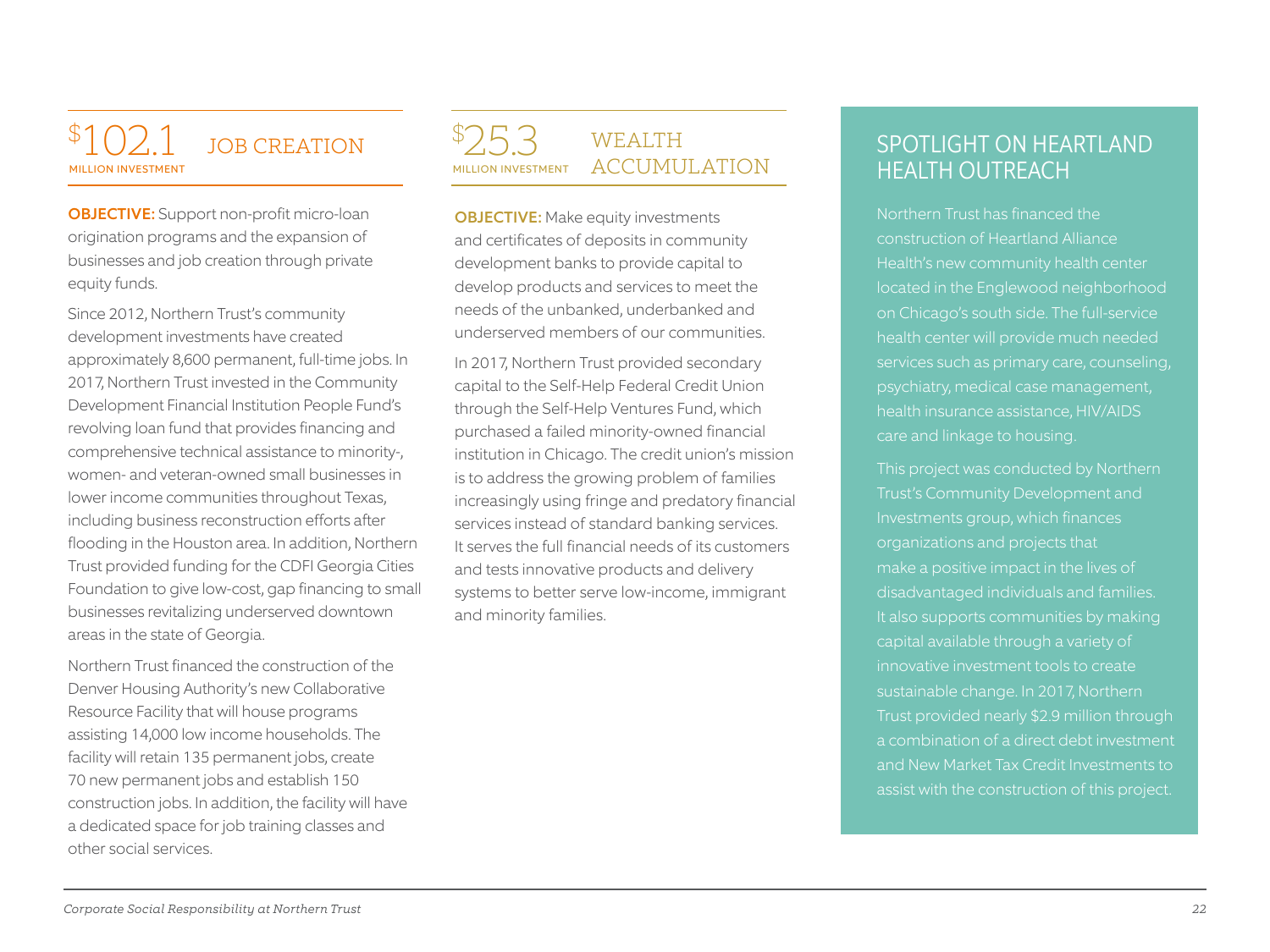#### \$ **MILLION INVESTMENT** JOB CREATION

OBJECTIVE: Support non-profit micro-loan origination programs and the expansion of businesses and job creation through private equity funds.

Since 2012, Northern Trust's community development investments have created approximately 8,600 permanent, full-time jobs. In 2017, Northern Trust invested in the Community Development Financial Institution People Fund's revolving loan fund that provides financing and comprehensive technical assistance to minority-, women- and veteran-owned small businesses in lower income communities throughout Texas, including business reconstruction efforts after flooding in the Houston area. In addition, Northern Trust provided funding for the CDFI Georgia Cities Foundation to give low-cost, gap financing to small businesses revitalizing underserved downtown areas in the state of Georgia.

Northern Trust financed the construction of the Denver Housing Authority's new Collaborative Resource Facility that will house programs assisting 14,000 low income households. The facility will retain 135 permanent jobs, create 70 new permanent jobs and establish 150 construction jobs. In addition, the facility will have a dedicated space for job training classes and other social services.

#### $\boldsymbol{\varphi}$ **MILLION INVESTMENT WEALTH** ACCUMULATION

**OBJECTIVE:** Make equity investments and certificates of deposits in community development banks to provide capital to develop products and services to meet the needs of the unbanked, underbanked and underserved members of our communities.

In 2017, Northern Trust provided secondary capital to the Self-Help Federal Credit Union through the Self-Help Ventures Fund, which purchased a failed minority-owned financial institution in Chicago. The credit union's mission is to address the growing problem of families increasingly using fringe and predatory financial services instead of standard banking services. It serves the full financial needs of its customers and tests innovative products and delivery systems to better serve low-income, immigrant and minority families.

# **SPOTLIGHT ON HEARTLAND** HEALTH OUTREACH

Northern Trust has financed the construction of Heartland Alliance located in the Englewood neighborhood on Chicago's south side. The full-service health center will provide much needed psychiatry, medical case management, health insurance assistance, HIV/AIDS care and linkage to housing.

This project was conducted by Northern Trust's Community Development and Investments group, which finances organizations and projects that make a positive impact in the lives of disadvantaged individuals and families. It also supports communities by making capital available through a variety of innovative investment tools to create sustainable change. In 2017, Northern Trust provided nearly \$2.9 million through a combination of a direct debt investment and New Market Tax Credit Investments to assist with the construction of this project.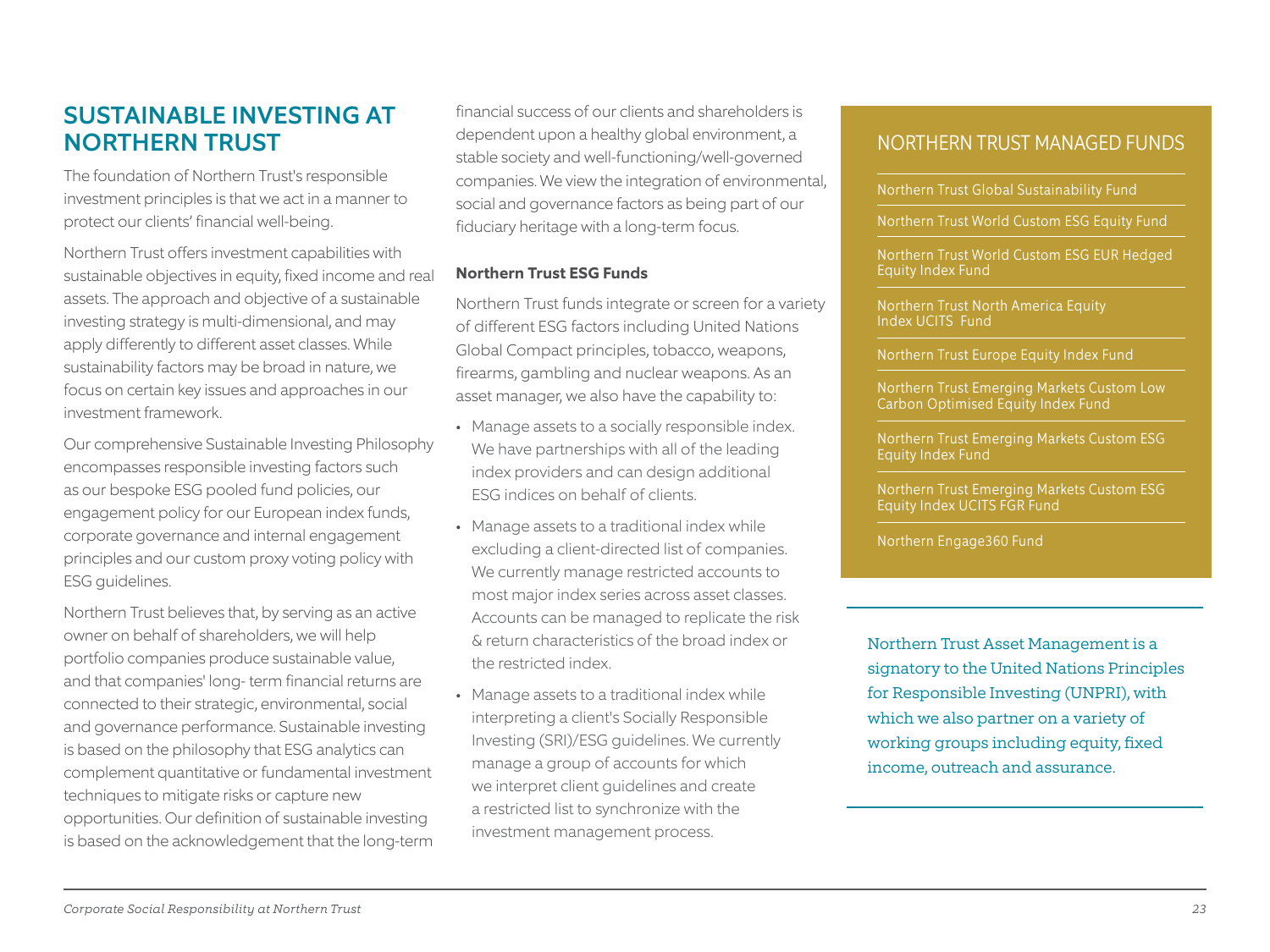# SUSTAINABLE INVESTING AT NORTHERN TRUST

The foundation of Northern Trust's responsible investment principles is that we act in a manner to protect our clients' financial well-being.

Northern Trust offers investment capabilities with sustainable objectives in equity, fixed income and real assets. The approach and objective of a sustainable investing strategy is multi-dimensional, and may apply differently to different asset classes. While sustainability factors may be broad in nature, we focus on certain key issues and approaches in our investment framework.

Our comprehensive Sustainable Investing Philosophy encompasses responsible investing factors such as our bespoke ESG pooled fund policies, our engagement policy for our European index funds, corporate governance and internal engagement principles and our custom proxy voting policy with ESG guidelines.

Northern Trust believes that, by serving as an active owner on behalf of shareholders, we will help portfolio companies produce sustainable value, and that companies' long- term financial returns are connected to their strategic, environmental, social and governance performance. Sustainable investing is based on the philosophy that ESG analytics can complement quantitative or fundamental investment techniques to mitigate risks or capture new opportunities. Our definition of sustainable investing is based on the acknowledgement that the long-term

financial success of our clients and shareholders is dependent upon a healthy global environment, a stable society and well-functioning/well-governed companies. We view the integration of environmental, social and governance factors as being part of our fiduciary heritage with a long-term focus.

#### **Northern Trust ESG Funds**

Northern Trust funds integrate or screen for a variety of different ESG factors including United Nations Global Compact principles, tobacco, weapons, firearms, gambling and nuclear weapons. As an asset manager, we also have the capability to:

- Manage assets to a socially responsible index. We have partnerships with all of the leading index providers and can design additional ESG indices on behalf of clients.
- Manage assets to a traditional index while excluding a client-directed list of companies. We currently manage restricted accounts to most major index series across asset classes. Accounts can be managed to replicate the risk & return characteristics of the broad index or the restricted index.
- Manage assets to a traditional index while interpreting a client's Socially Responsible Investing (SRI)/ESG guidelines. We currently manage a group of accounts for which we interpret client guidelines and create a restricted list to synchronize with the investment management process.

## NORTHERN TRUST MANAGED FUNDS

Northern Trust Global Sustainability Fund

Northern Trust World Custom ESG Equity Fund

Northern Trust World Custom ESG EUR Hedged Equity Index Fund

Northern Trust North America Equity Index UCITS Fund

Northern Trust Europe Equity Index Fund

Northern Trust Emerging Markets Custom Low Carbon Optimised Equity Index Fund

Northern Trust Emerging Markets Custom ESG Equity Index Fund

Northern Trust Emerging Markets Custom ESG Equity Index UCITS FGR Fund

Northern Engage360 Fund

Northern Trust Asset Management is a signatory to the United Nations Principles for Responsible Investing (UNPRI), with which we also partner on a variety of working groups including equity, fixed income, outreach and assurance.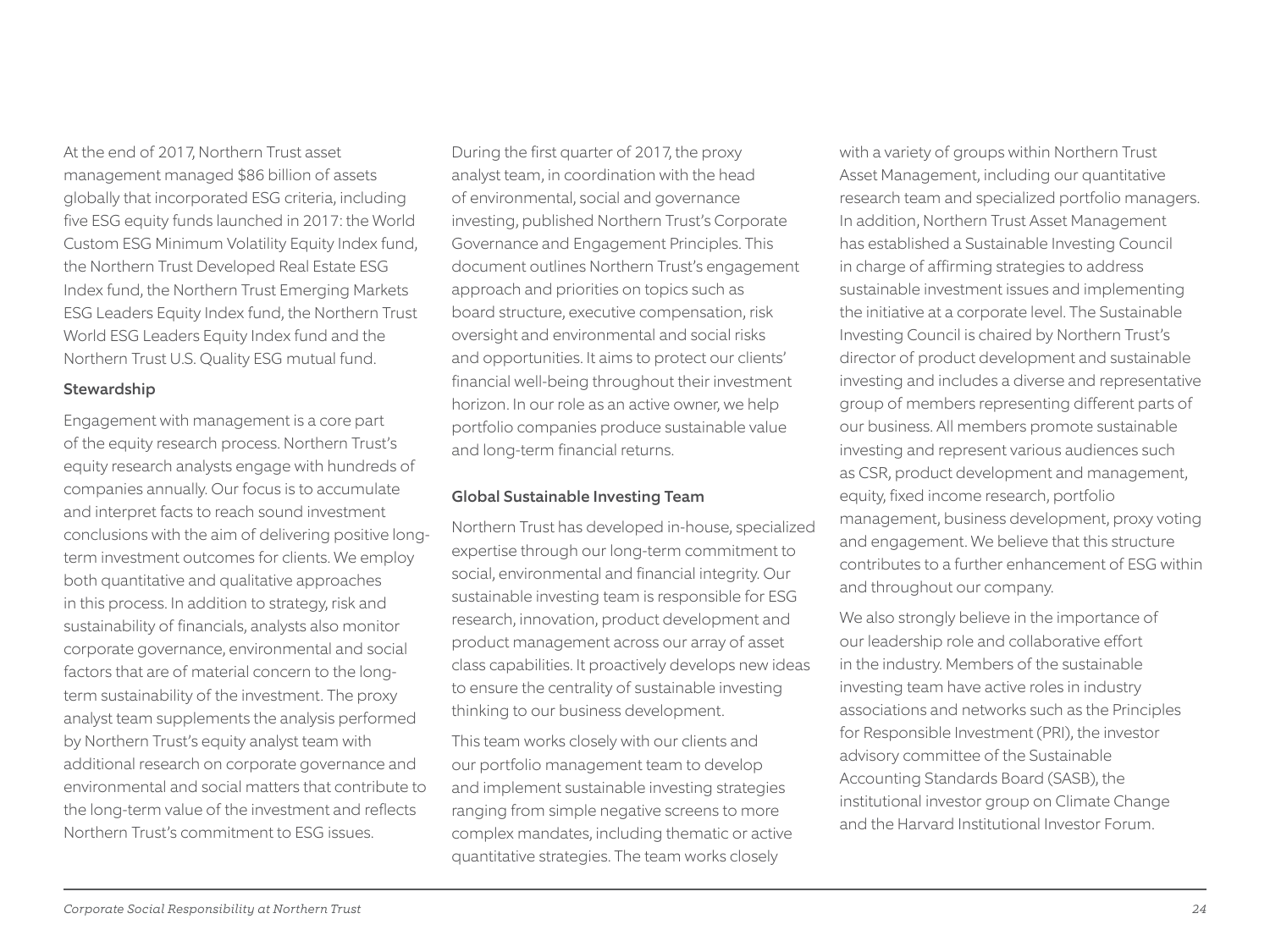At the end of 2017, Northern Trust asset management managed \$86 billion of assets globally that incorporated ESG criteria, including five ESG equity funds launched in 2017: the World Custom ESG Minimum Volatility Equity Index fund, the Northern Trust Developed Real Estate ESG Index fund, the Northern Trust Emerging Markets ESG Leaders Equity Index fund, the Northern Trust World ESG Leaders Equity Index fund and the Northern Trust U.S. Quality ESG mutual fund.

#### Stewardship

Engagement with management is a core part of the equity research process. Northern Trust's equity research analysts engage with hundreds of companies annually. Our focus is to accumulate and interpret facts to reach sound investment conclusions with the aim of delivering positive longterm investment outcomes for clients. We employ both quantitative and qualitative approaches in this process. In addition to strategy, risk and sustainability of financials, analysts also monitor corporate governance, environmental and social factors that are of material concern to the longterm sustainability of the investment. The proxy analyst team supplements the analysis performed by Northern Trust's equity analyst team with additional research on corporate governance and environmental and social matters that contribute to the long-term value of the investment and reflects Northern Trust's commitment to ESG issues.

During the first quarter of 2017, the proxy analyst team, in coordination with the head of environmental, social and governance investing, published Northern Trust's Corporate Governance and Engagement Principles. This document outlines Northern Trust's engagement approach and priorities on topics such as board structure, executive compensation, risk oversight and environmental and social risks and opportunities. It aims to protect our clients' financial well-being throughout their investment horizon. In our role as an active owner, we help portfolio companies produce sustainable value and long-term financial returns.

#### Global Sustainable Investing Team

Northern Trust has developed in-house, specialized expertise through our long-term commitment to social, environmental and financial integrity. Our sustainable investing team is responsible for ESG research, innovation, product development and product management across our array of asset class capabilities. It proactively develops new ideas to ensure the centrality of sustainable investing thinking to our business development.

This team works closely with our clients and our portfolio management team to develop and implement sustainable investing strategies ranging from simple negative screens to more complex mandates, including thematic or active quantitative strategies. The team works closely

with a variety of groups within Northern Trust Asset Management, including our quantitative research team and specialized portfolio managers. In addition, Northern Trust Asset Management has established a Sustainable Investing Council in charge of affirming strategies to address sustainable investment issues and implementing the initiative at a corporate level. The Sustainable Investing Council is chaired by Northern Trust's director of product development and sustainable investing and includes a diverse and representative group of members representing different parts of our business. All members promote sustainable investing and represent various audiences such as CSR, product development and management, equity, fixed income research, portfolio management, business development, proxy voting and engagement. We believe that this structure contributes to a further enhancement of ESG within and throughout our company.

We also strongly believe in the importance of our leadership role and collaborative effort in the industry. Members of the sustainable investing team have active roles in industry associations and networks such as the Principles for Responsible Investment (PRI), the investor advisory committee of the Sustainable Accounting Standards Board (SASB), the institutional investor group on Climate Change and the Harvard Institutional Investor Forum.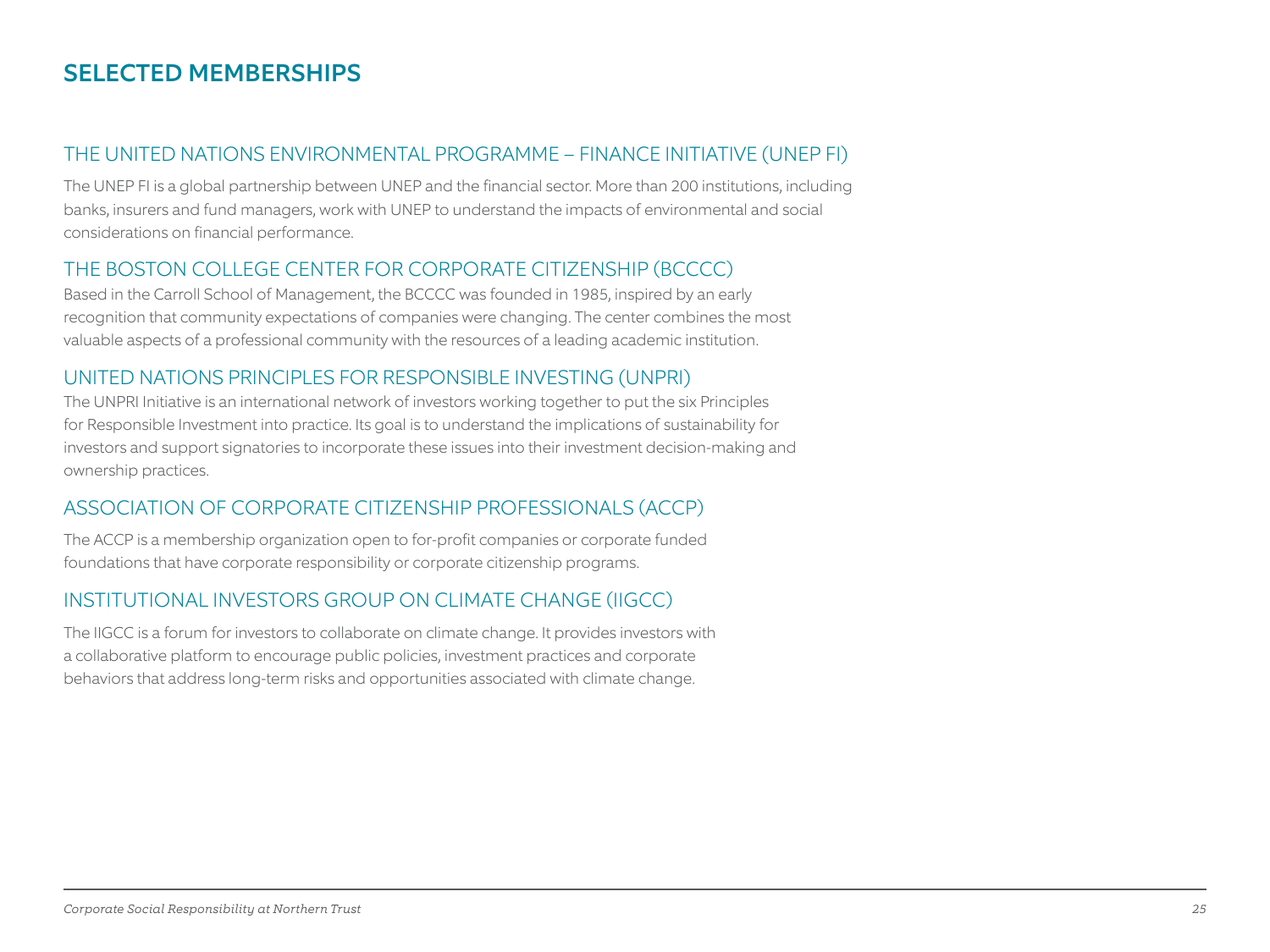# SELECTED MEMBERSHIPS

# THE UNITED NATIONS ENVIRONMENTAL PROGRAMME – FINANCE INITIATIVE (UNEP FI)

The UNEP FI is a global partnership between UNEP and the financial sector. More than 200 institutions, including banks, insurers and fund managers, work with UNEP to understand the impacts of environmental and social considerations on financial performance.

# THE BOSTON COLLEGE CENTER FOR CORPORATE CITIZENSHIP (BCCCC)

Based in the Carroll School of Management, the BCCCC was founded in 1985, inspired by an early recognition that community expectations of companies were changing. The center combines the most valuable aspects of a professional community with the resources of a leading academic institution.

# UNITED NATIONS PRINCIPLES FOR RESPONSIBLE INVESTING (UNPRI)

The UNPRI Initiative is an international network of investors working together to put the six Principles for Responsible Investment into practice. Its goal is to understand the implications of sustainability for investors and support signatories to incorporate these issues into their investment decision-making and ownership practices.

# ASSOCIATION OF CORPORATE CITIZENSHIP PROFESSIONALS (ACCP)

The ACCP is a membership organization open to for-profit companies or corporate funded foundations that have corporate responsibility or corporate citizenship programs.

# INSTITUTIONAL INVESTORS GROUP ON CLIMATE CHANGE (IIGCC)

The IIGCC is a forum for investors to collaborate on climate change. It provides investors with a collaborative platform to encourage public policies, investment practices and corporate behaviors that address long-term risks and opportunities associated with climate change.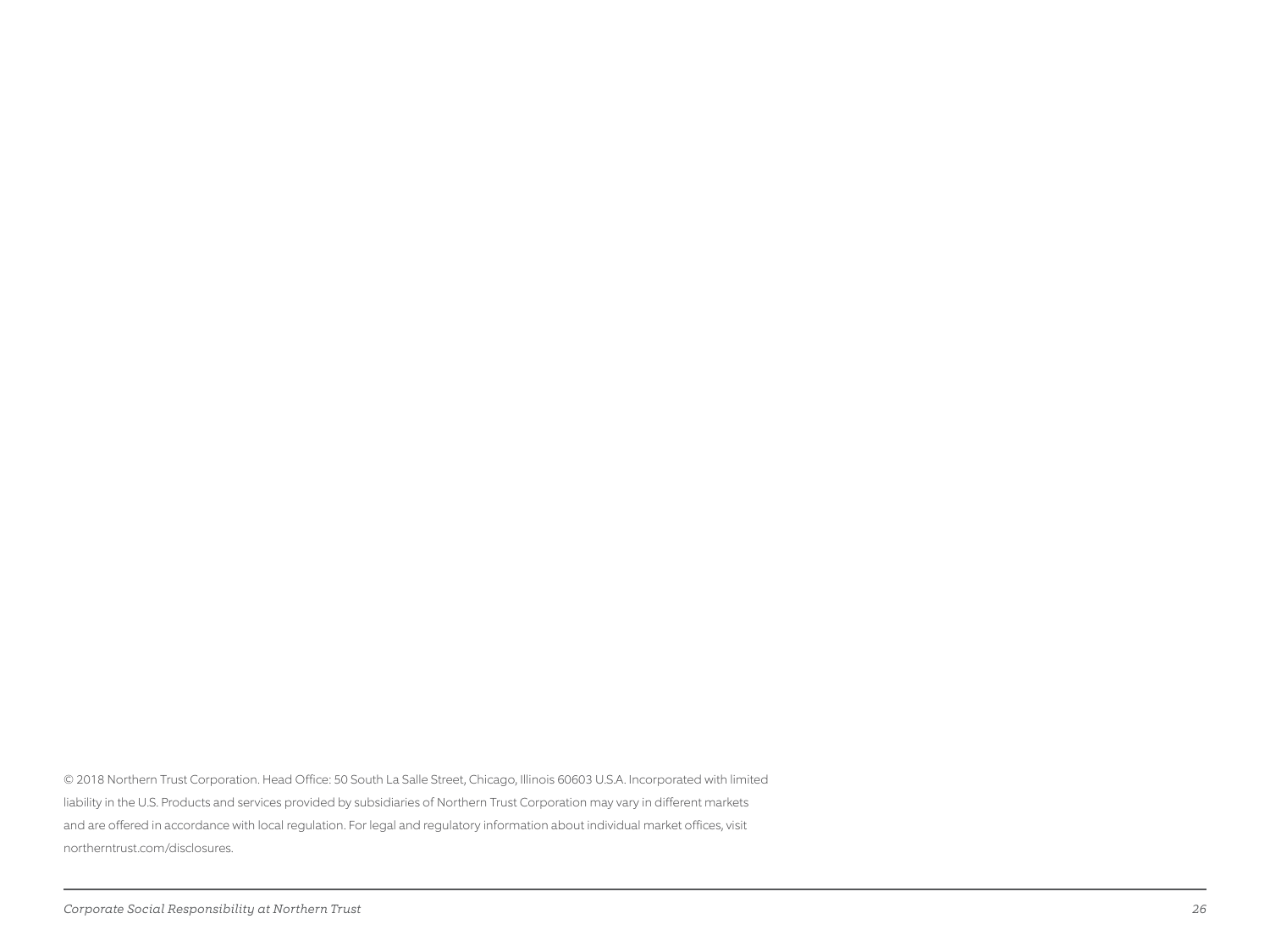© 2018 Northern Trust Corporation. Head Office: 50 South La Salle Street, Chicago, Illinois 60603 U.S.A. Incorporated with limited liability in the U.S. Products and services provided by subsidiaries of Northern Trust Corporation may vary in different markets and are offered in accordance with local regulation. For legal and regulatory information about individual market offices, visit northerntrust.com/disclosures.